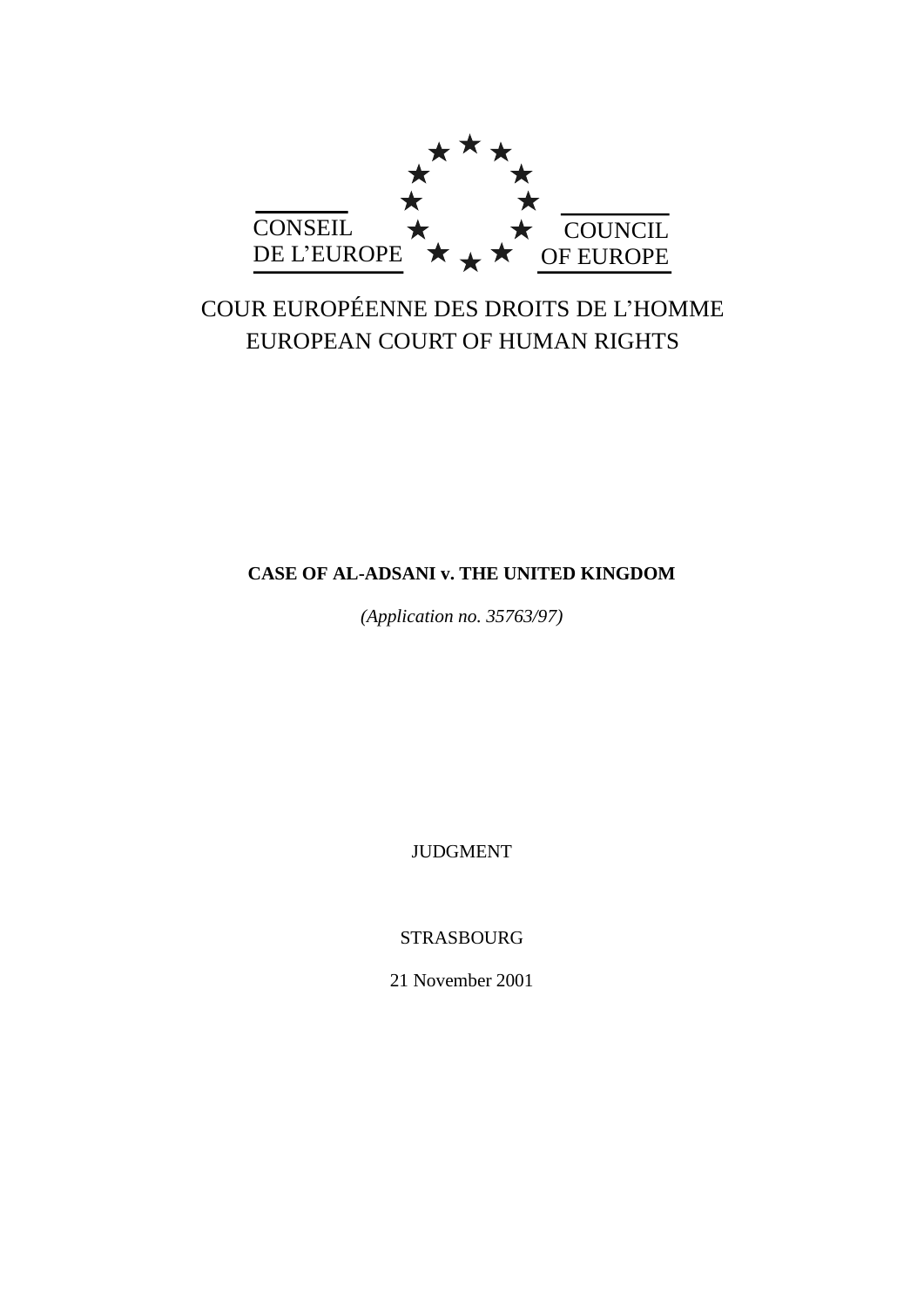

# COUR EUROPÉENNE DES DROITS DE L"HOMME EUROPEAN COURT OF HUMAN RIGHTS

## **CASE OF AL-ADSANI v. THE UNITED KINGDOM**

*(Application no. 35763/97)*

JUDGMENT

STRASBOURG

21 November 2001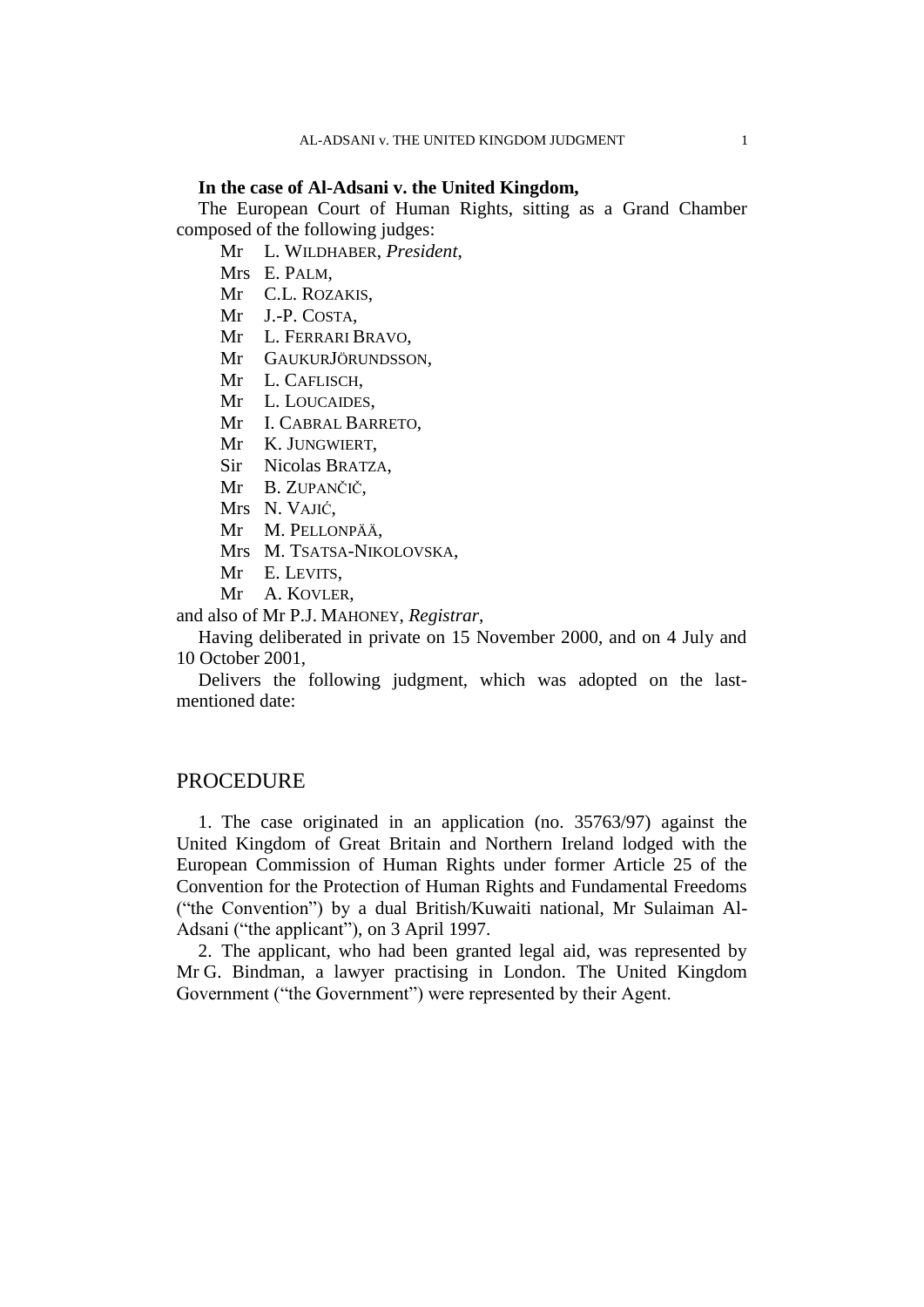#### **In the case of Al-Adsani v. the United Kingdom,**

The European Court of Human Rights, sitting as a Grand Chamber composed of the following judges:

Mr L. WILDHABER, *President*,

Mrs E. PALM,

Mr C.L. ROZAKIS,

Mr J.-P. COSTA,

Mr L. FERRARI BRAVO,

Mr GAUKURJÖRUNDSSON,

Mr L. CAFLISCH,

Mr L. LOUCAIDES.

Mr I. CABRAL BARRETO,

Mr K. JUNGWIERT,

Sir Nicolas BRATZA,

Mr B. ZUPANĈIĈ,

Mrs N. VAJIĆ,

Mr M. PELLONPÄÄ,

Mrs M. TSATSA-NIKOLOVSKA,

Mr E. LEVITS,

Mr A. KOVLER,

and also of Mr P.J. MAHONEY, *Registrar*,

Having deliberated in private on 15 November 2000, and on 4 July and 10 October 2001,

Delivers the following judgment, which was adopted on the lastmentioned date:

### PROCEDURE

1. The case originated in an application (no. 35763/97) against the United Kingdom of Great Britain and Northern Ireland lodged with the European Commission of Human Rights under former Article 25 of the Convention for the Protection of Human Rights and Fundamental Freedoms ("the Convention") by a dual British/Kuwaiti national, Mr Sulaiman Al-Adsani ("the applicant"), on 3 April 1997.

2. The applicant, who had been granted legal aid, was represented by Mr G. Bindman, a lawyer practising in London. The United Kingdom Government ("the Government") were represented by their Agent.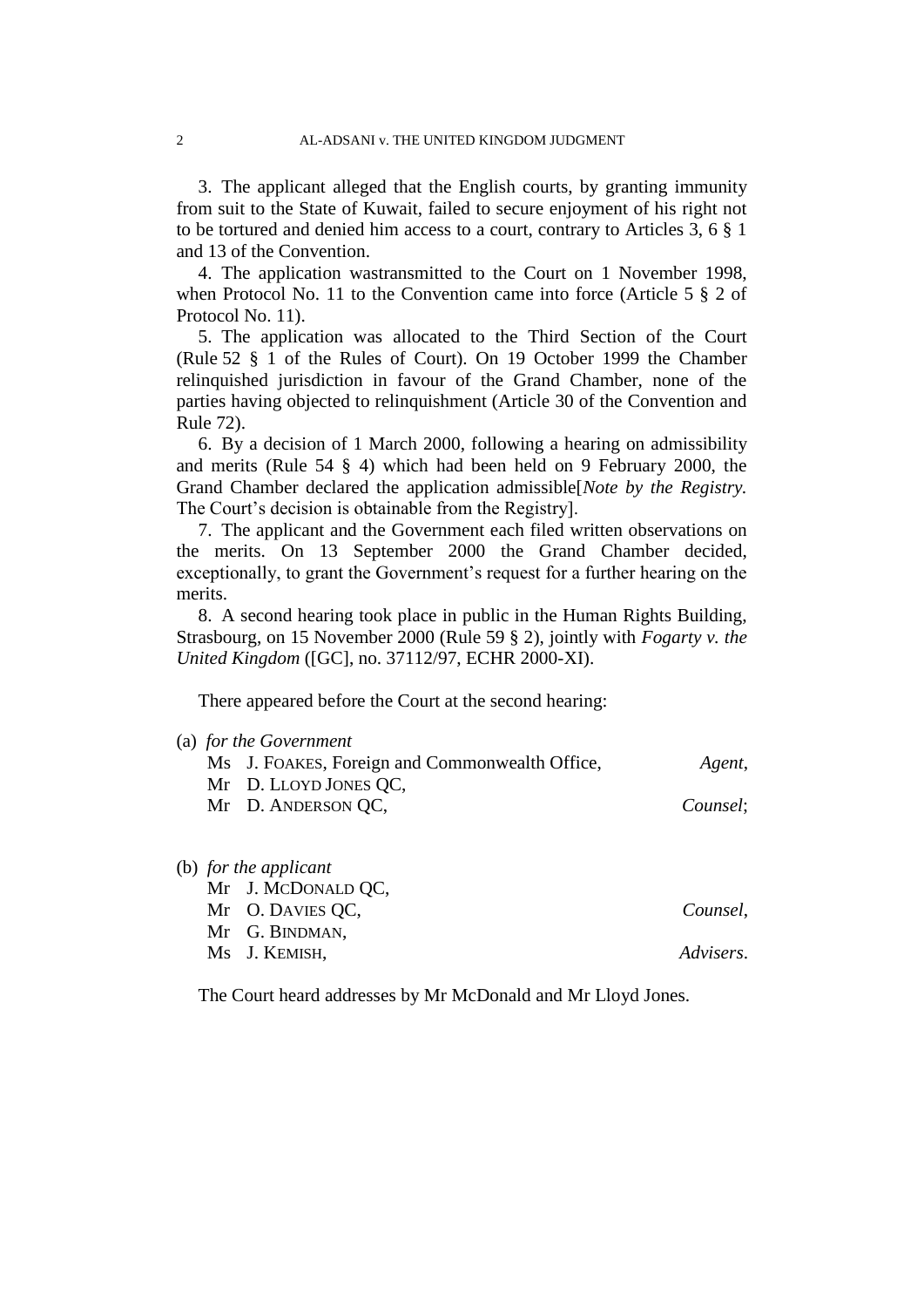3. The applicant alleged that the English courts, by granting immunity from suit to the State of Kuwait, failed to secure enjoyment of his right not to be tortured and denied him access to a court, contrary to Articles 3, 6 § 1 and 13 of the Convention.

4. The application wastransmitted to the Court on 1 November 1998, when Protocol No. 11 to the Convention came into force (Article 5 § 2 of Protocol No. 11).

5. The application was allocated to the Third Section of the Court (Rule 52 § 1 of the Rules of Court). On 19 October 1999 the Chamber relinquished jurisdiction in favour of the Grand Chamber, none of the parties having objected to relinquishment (Article 30 of the Convention and Rule 72).

6. By a decision of 1 March 2000, following a hearing on admissibility and merits (Rule 54 § 4) which had been held on 9 February 2000, the Grand Chamber declared the application admissible[*Note by the Registry.*  The Court's decision is obtainable from the Registry.

7. The applicant and the Government each filed written observations on the merits. On 13 September 2000 the Grand Chamber decided, exceptionally, to grant the Government's request for a further hearing on the merits.

8. A second hearing took place in public in the Human Rights Building, Strasbourg, on 15 November 2000 (Rule 59 § 2), jointly with *Fogarty v. the United Kingdom* ([GC], no. 37112/97, ECHR 2000-XI).

There appeared before the Court at the second hearing:

| (a) for the Government                         |           |
|------------------------------------------------|-----------|
| Ms J. FOAKES, Foreign and Commonwealth Office, | Agent,    |
| Mr D. LLOYD JONES QC,                          |           |
| Mr D. ANDERSON QC,                             | Counsel:  |
|                                                |           |
| (b) for the applicant                          |           |
| Mr J. MCDONALD QC,                             |           |
| Mr O. DAVIES QC,                               | Counsel,  |
| Mr G. BINDMAN,                                 |           |
| Ms J. KEMISH,                                  | Advisers. |

The Court heard addresses by Mr McDonald and Mr Lloyd Jones.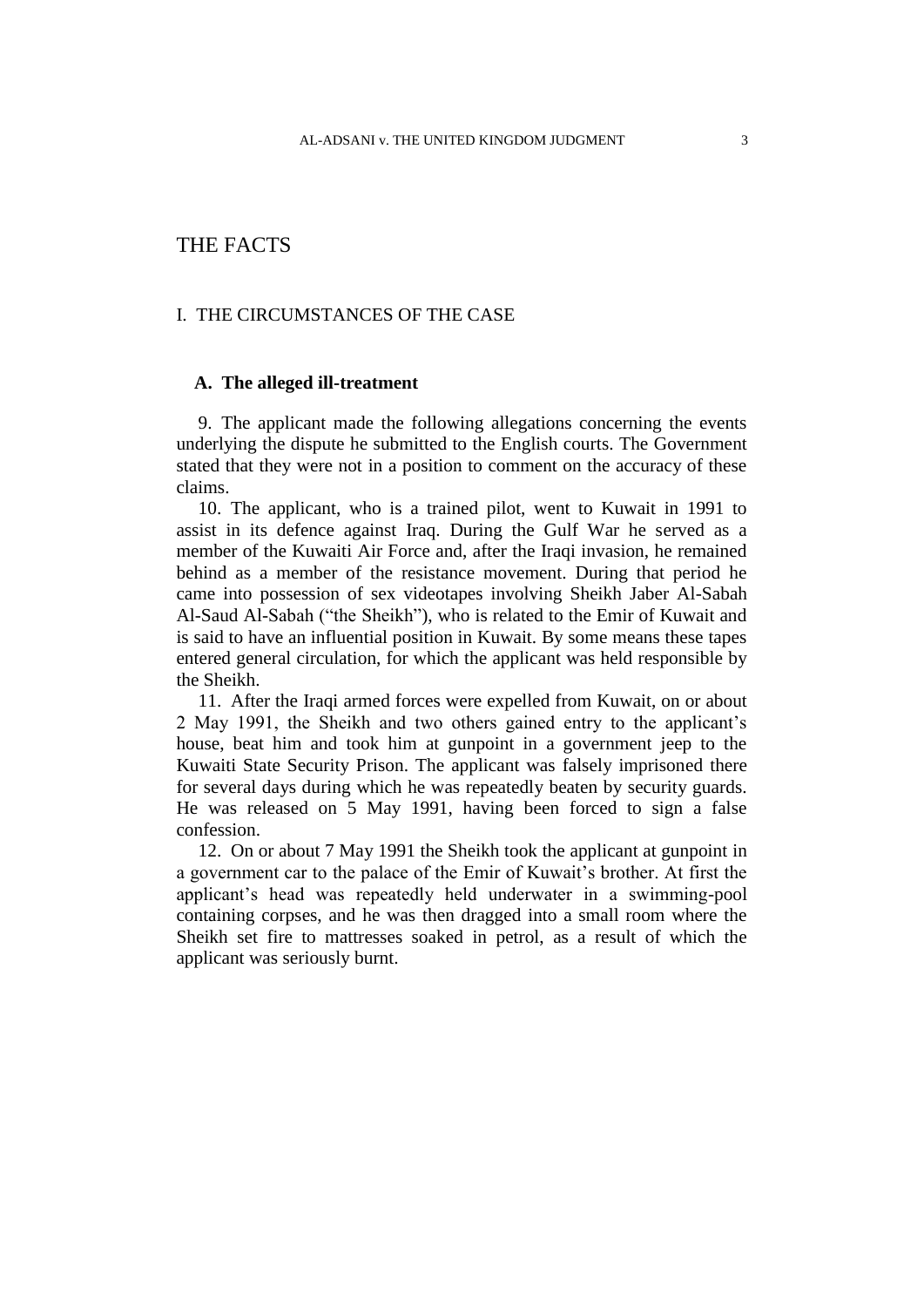## THE FACTS

## I. THE CIRCUMSTANCES OF THE CASE

#### **A. The alleged ill-treatment**

9. The applicant made the following allegations concerning the events underlying the dispute he submitted to the English courts. The Government stated that they were not in a position to comment on the accuracy of these claims.

10. The applicant, who is a trained pilot, went to Kuwait in 1991 to assist in its defence against Iraq. During the Gulf War he served as a member of the Kuwaiti Air Force and, after the Iraqi invasion, he remained behind as a member of the resistance movement. During that period he came into possession of sex videotapes involving Sheikh Jaber Al-Sabah Al-Saud Al-Sabah ("the Sheikh"), who is related to the Emir of Kuwait and is said to have an influential position in Kuwait. By some means these tapes entered general circulation, for which the applicant was held responsible by the Sheikh.

11. After the Iraqi armed forces were expelled from Kuwait, on or about 2 May 1991, the Sheikh and two others gained entry to the applicant"s house, beat him and took him at gunpoint in a government jeep to the Kuwaiti State Security Prison. The applicant was falsely imprisoned there for several days during which he was repeatedly beaten by security guards. He was released on 5 May 1991, having been forced to sign a false confession.

12. On or about 7 May 1991 the Sheikh took the applicant at gunpoint in a government car to the palace of the Emir of Kuwait"s brother. At first the applicant"s head was repeatedly held underwater in a swimming-pool containing corpses, and he was then dragged into a small room where the Sheikh set fire to mattresses soaked in petrol, as a result of which the applicant was seriously burnt.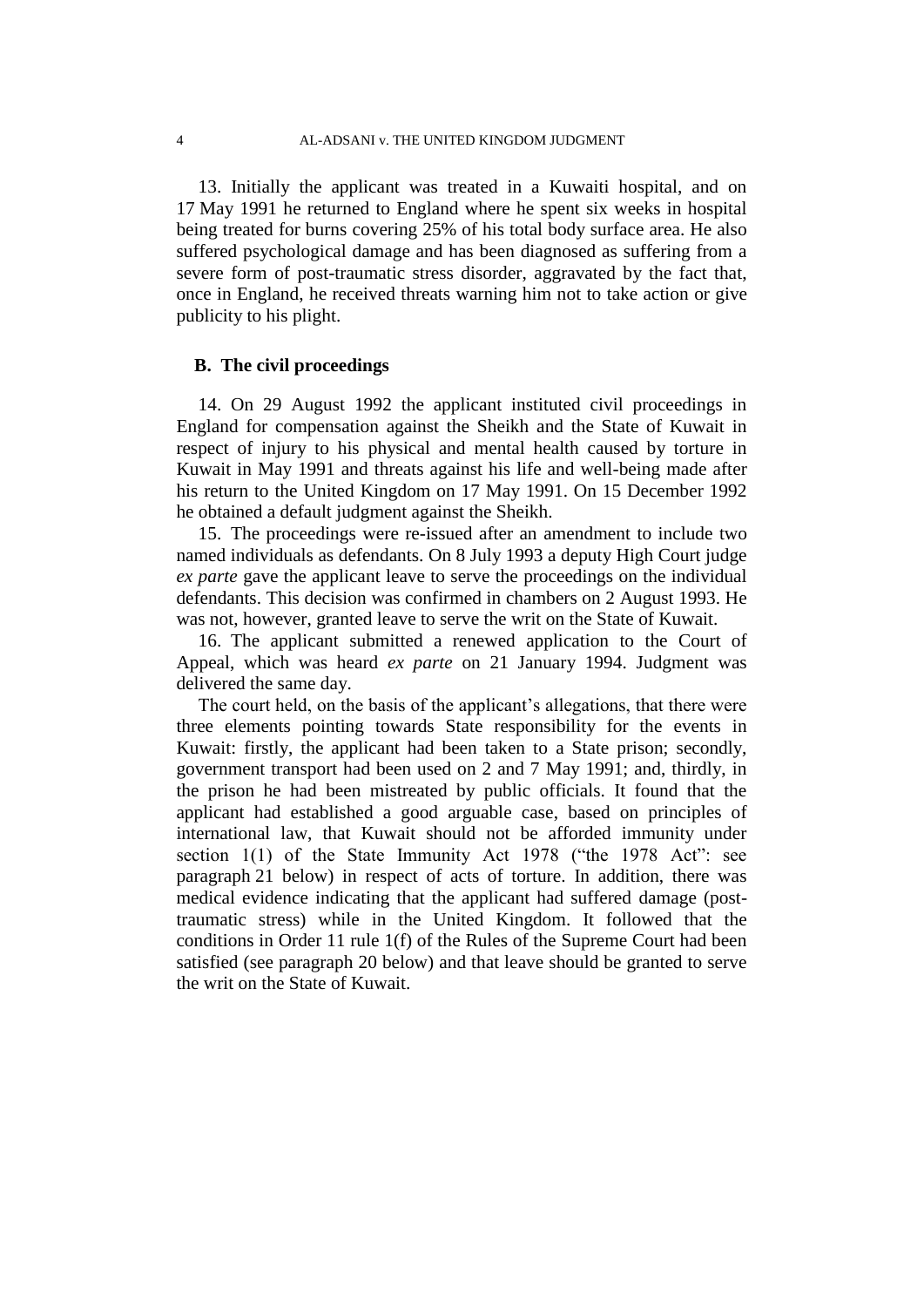13. Initially the applicant was treated in a Kuwaiti hospital, and on 17 May 1991 he returned to England where he spent six weeks in hospital being treated for burns covering 25% of his total body surface area. He also suffered psychological damage and has been diagnosed as suffering from a severe form of post-traumatic stress disorder, aggravated by the fact that, once in England, he received threats warning him not to take action or give publicity to his plight.

#### **B. The civil proceedings**

14. On 29 August 1992 the applicant instituted civil proceedings in England for compensation against the Sheikh and the State of Kuwait in respect of injury to his physical and mental health caused by torture in Kuwait in May 1991 and threats against his life and well-being made after his return to the United Kingdom on 17 May 1991. On 15 December 1992 he obtained a default judgment against the Sheikh.

15. The proceedings were re-issued after an amendment to include two named individuals as defendants. On 8 July 1993 a deputy High Court judge *ex parte* gave the applicant leave to serve the proceedings on the individual defendants. This decision was confirmed in chambers on 2 August 1993. He was not, however, granted leave to serve the writ on the State of Kuwait.

16. The applicant submitted a renewed application to the Court of Appeal, which was heard *ex parte* on 21 January 1994. Judgment was delivered the same day.

The court held, on the basis of the applicant's allegations, that there were three elements pointing towards State responsibility for the events in Kuwait: firstly, the applicant had been taken to a State prison; secondly, government transport had been used on 2 and 7 May 1991; and, thirdly, in the prison he had been mistreated by public officials. It found that the applicant had established a good arguable case, based on principles of international law, that Kuwait should not be afforded immunity under section 1(1) of the State Immunity Act 1978 ("the 1978 Act": see paragraph 21 below) in respect of acts of torture. In addition, there was medical evidence indicating that the applicant had suffered damage (posttraumatic stress) while in the United Kingdom. It followed that the conditions in Order 11 rule 1(f) of the Rules of the Supreme Court had been satisfied (see paragraph 20 below) and that leave should be granted to serve the writ on the State of Kuwait.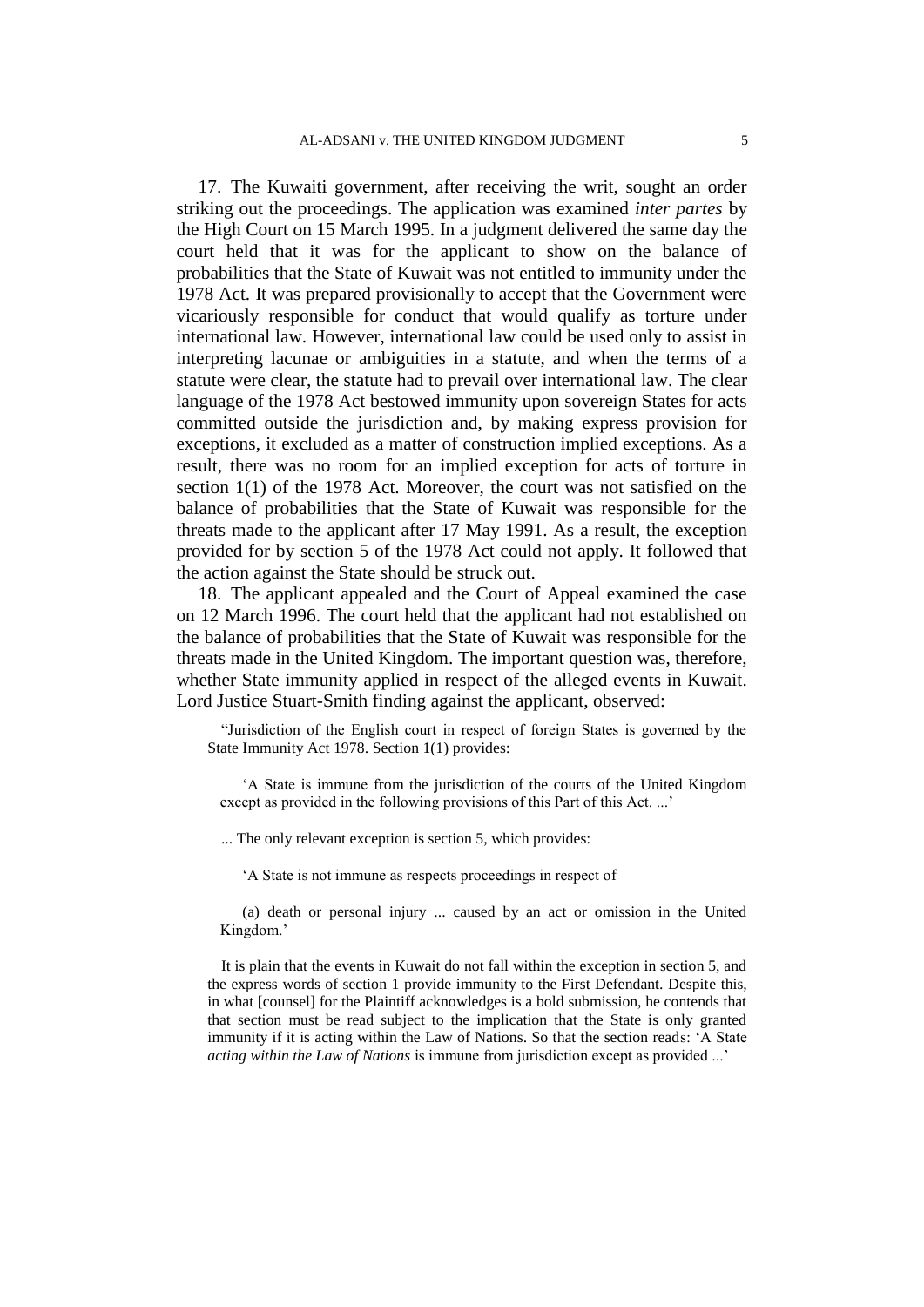17. The Kuwaiti government, after receiving the writ, sought an order striking out the proceedings. The application was examined *inter partes* by the High Court on 15 March 1995. In a judgment delivered the same day the court held that it was for the applicant to show on the balance of probabilities that the State of Kuwait was not entitled to immunity under the 1978 Act. It was prepared provisionally to accept that the Government were vicariously responsible for conduct that would qualify as torture under international law. However, international law could be used only to assist in interpreting lacunae or ambiguities in a statute, and when the terms of a statute were clear, the statute had to prevail over international law. The clear language of the 1978 Act bestowed immunity upon sovereign States for acts committed outside the jurisdiction and, by making express provision for exceptions, it excluded as a matter of construction implied exceptions. As a result, there was no room for an implied exception for acts of torture in section 1(1) of the 1978 Act. Moreover, the court was not satisfied on the balance of probabilities that the State of Kuwait was responsible for the threats made to the applicant after 17 May 1991. As a result, the exception provided for by section 5 of the 1978 Act could not apply. It followed that the action against the State should be struck out.

18. The applicant appealed and the Court of Appeal examined the case on 12 March 1996. The court held that the applicant had not established on the balance of probabilities that the State of Kuwait was responsible for the threats made in the United Kingdom. The important question was, therefore, whether State immunity applied in respect of the alleged events in Kuwait. Lord Justice Stuart-Smith finding against the applicant, observed:

"Jurisdiction of the English court in respect of foreign States is governed by the State Immunity Act 1978. Section 1(1) provides:

"A State is immune from the jurisdiction of the courts of the United Kingdom except as provided in the following provisions of this Part of this Act. ..."

... The only relevant exception is section 5, which provides:

"A State is not immune as respects proceedings in respect of

(a) death or personal injury ... caused by an act or omission in the United Kingdom.'

It is plain that the events in Kuwait do not fall within the exception in section 5, and the express words of section 1 provide immunity to the First Defendant. Despite this, in what [counsel] for the Plaintiff acknowledges is a bold submission, he contends that that section must be read subject to the implication that the State is only granted immunity if it is acting within the Law of Nations. So that the section reads: "A State *acting within the Law of Nations* is immune from jurisdiction except as provided ..."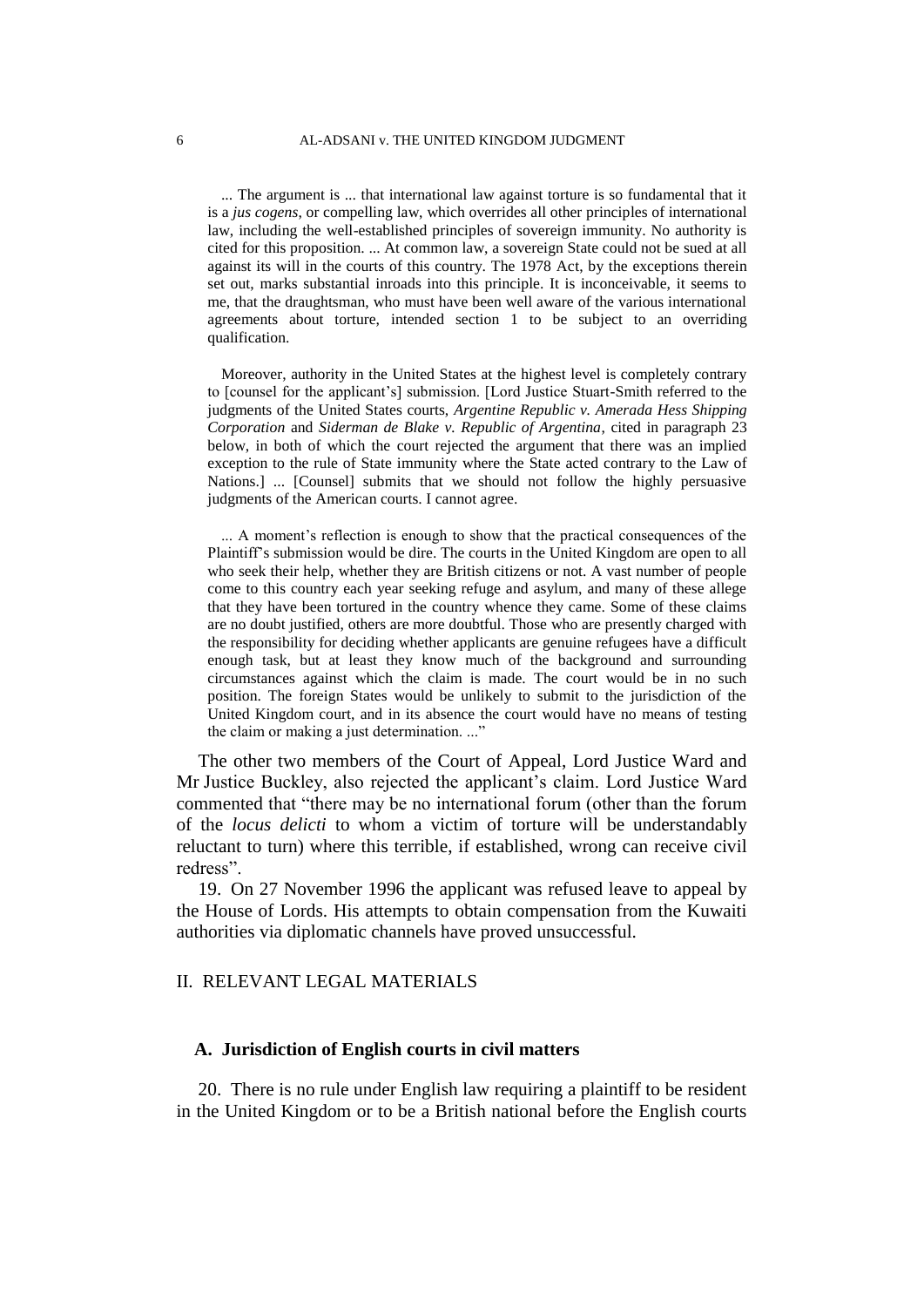... The argument is ... that international law against torture is so fundamental that it is a *jus cogens*, or compelling law, which overrides all other principles of international law, including the well-established principles of sovereign immunity. No authority is cited for this proposition. ... At common law, a sovereign State could not be sued at all against its will in the courts of this country. The 1978 Act, by the exceptions therein set out, marks substantial inroads into this principle. It is inconceivable, it seems to me, that the draughtsman, who must have been well aware of the various international agreements about torture, intended section 1 to be subject to an overriding qualification.

Moreover, authority in the United States at the highest level is completely contrary to [counsel for the applicant"s] submission. [Lord Justice Stuart-Smith referred to the judgments of the United States courts, *Argentine Republic v. Amerada Hess Shipping Corporation* and *Siderman de Blake v. Republic of Argentina*, cited in paragraph 23 below, in both of which the court rejected the argument that there was an implied exception to the rule of State immunity where the State acted contrary to the Law of Nations.] ... [Counsel] submits that we should not follow the highly persuasive judgments of the American courts. I cannot agree.

... A moment's reflection is enough to show that the practical consequences of the Plaintiff"s submission would be dire. The courts in the United Kingdom are open to all who seek their help, whether they are British citizens or not. A vast number of people come to this country each year seeking refuge and asylum, and many of these allege that they have been tortured in the country whence they came. Some of these claims are no doubt justified, others are more doubtful. Those who are presently charged with the responsibility for deciding whether applicants are genuine refugees have a difficult enough task, but at least they know much of the background and surrounding circumstances against which the claim is made. The court would be in no such position. The foreign States would be unlikely to submit to the jurisdiction of the United Kingdom court, and in its absence the court would have no means of testing the claim or making a just determination. ..."

The other two members of the Court of Appeal, Lord Justice Ward and Mr Justice Buckley, also rejected the applicant"s claim. Lord Justice Ward commented that "there may be no international forum (other than the forum of the *locus delicti* to whom a victim of torture will be understandably reluctant to turn) where this terrible, if established, wrong can receive civil redress".

19. On 27 November 1996 the applicant was refused leave to appeal by the House of Lords. His attempts to obtain compensation from the Kuwaiti authorities via diplomatic channels have proved unsuccessful.

## II. RELEVANT LEGAL MATERIALS

#### **A. Jurisdiction of English courts in civil matters**

20. There is no rule under English law requiring a plaintiff to be resident in the United Kingdom or to be a British national before the English courts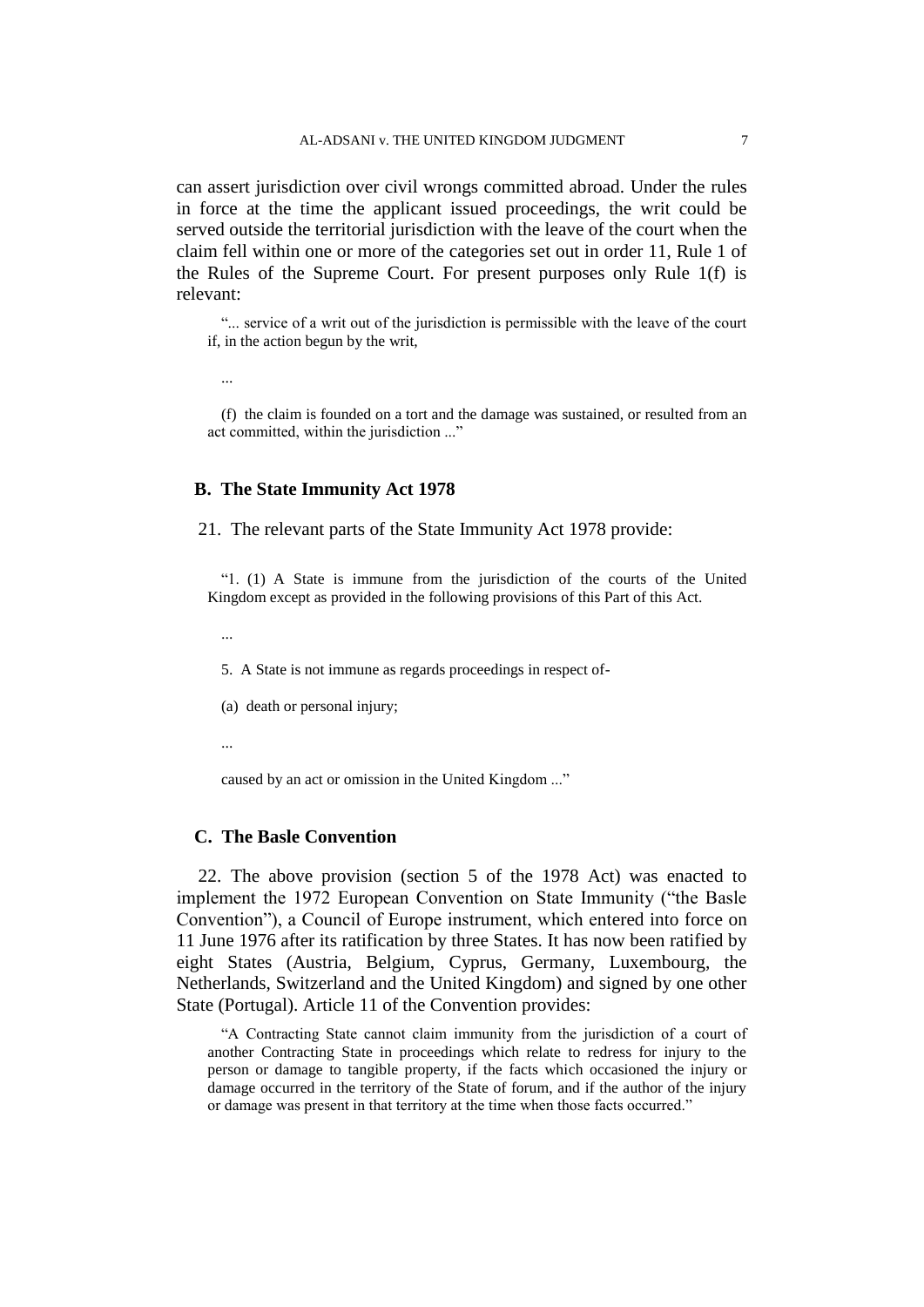can assert jurisdiction over civil wrongs committed abroad. Under the rules in force at the time the applicant issued proceedings, the writ could be served outside the territorial jurisdiction with the leave of the court when the claim fell within one or more of the categories set out in order 11, Rule 1 of the Rules of the Supreme Court. For present purposes only Rule 1(f) is relevant:

"... service of a writ out of the jurisdiction is permissible with the leave of the court if, in the action begun by the writ,

...

(f) the claim is founded on a tort and the damage was sustained, or resulted from an act committed, within the jurisdiction ..."

#### **B. The State Immunity Act 1978**

21. The relevant parts of the State Immunity Act 1978 provide:

"1. (1) A State is immune from the jurisdiction of the courts of the United Kingdom except as provided in the following provisions of this Part of this Act.

...

5. A State is not immune as regards proceedings in respect of-

(a) death or personal injury;

...

caused by an act or omission in the United Kingdom ..."

#### **C. The Basle Convention**

22. The above provision (section 5 of the 1978 Act) was enacted to implement the 1972 European Convention on State Immunity ("the Basle Convention"), a Council of Europe instrument, which entered into force on 11 June 1976 after its ratification by three States. It has now been ratified by eight States (Austria, Belgium, Cyprus, Germany, Luxembourg, the Netherlands, Switzerland and the United Kingdom) and signed by one other State (Portugal). Article 11 of the Convention provides:

"A Contracting State cannot claim immunity from the jurisdiction of a court of another Contracting State in proceedings which relate to redress for injury to the person or damage to tangible property, if the facts which occasioned the injury or damage occurred in the territory of the State of forum, and if the author of the injury or damage was present in that territory at the time when those facts occurred."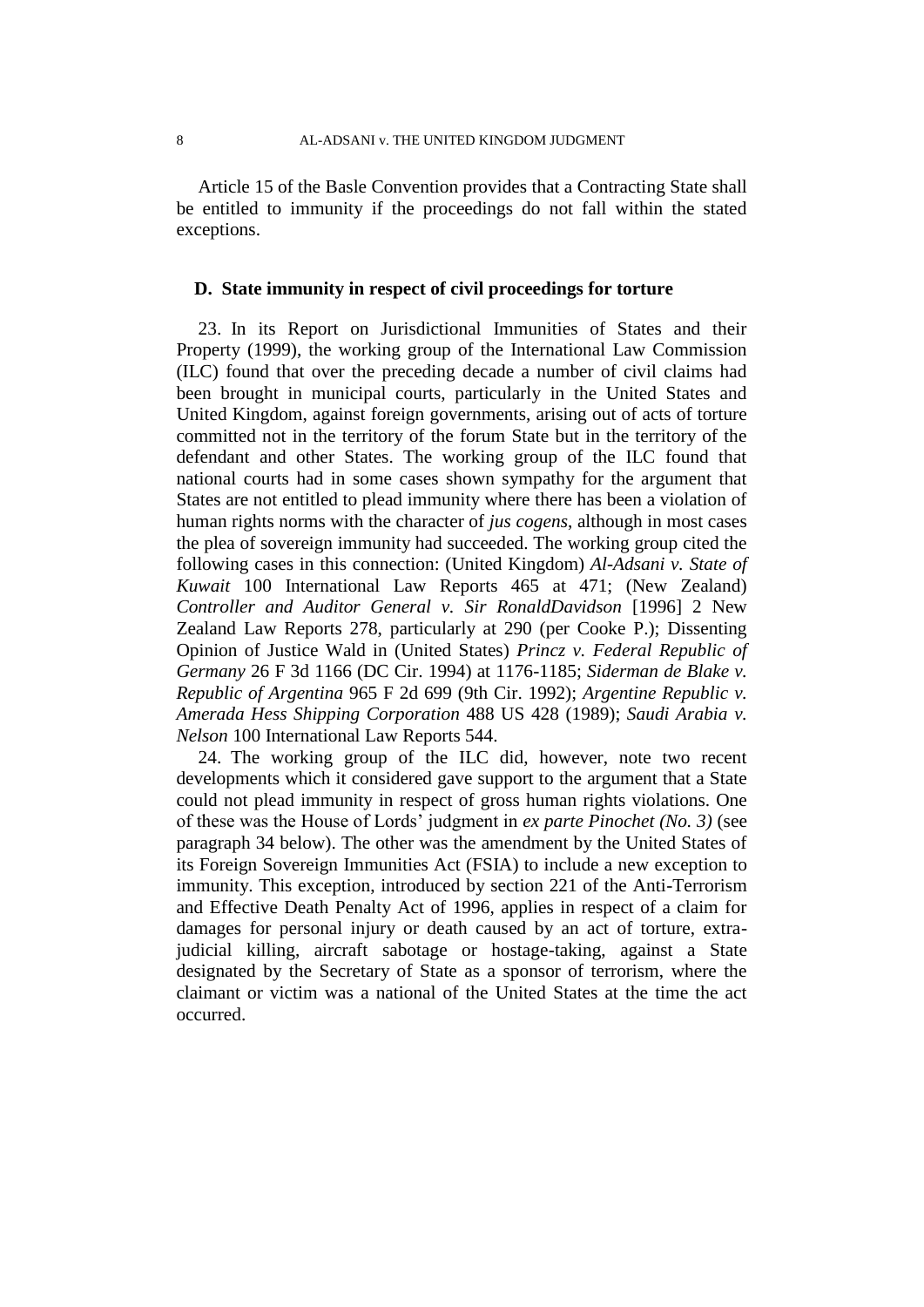Article 15 of the Basle Convention provides that a Contracting State shall be entitled to immunity if the proceedings do not fall within the stated exceptions.

#### **D. State immunity in respect of civil proceedings for torture**

23. In its Report on Jurisdictional Immunities of States and their Property (1999), the working group of the International Law Commission (ILC) found that over the preceding decade a number of civil claims had been brought in municipal courts, particularly in the United States and United Kingdom, against foreign governments, arising out of acts of torture committed not in the territory of the forum State but in the territory of the defendant and other States. The working group of the ILC found that national courts had in some cases shown sympathy for the argument that States are not entitled to plead immunity where there has been a violation of human rights norms with the character of *jus cogens*, although in most cases the plea of sovereign immunity had succeeded. The working group cited the following cases in this connection: (United Kingdom) *Al-Adsani v. State of Kuwait* 100 International Law Reports 465 at 471; (New Zealand) *Controller and Auditor General v. Sir RonaldDavidson* [1996] 2 New Zealand Law Reports 278, particularly at 290 (per Cooke P.); Dissenting Opinion of Justice Wald in (United States) *Princz v. Federal Republic of Germany* 26 F 3d 1166 (DC Cir. 1994) at 1176-1185; *Siderman de Blake v. Republic of Argentina* 965 F 2d 699 (9th Cir. 1992); *Argentine Republic v. Amerada Hess Shipping Corporation* 488 US 428 (1989); *Saudi Arabia v. Nelson* 100 International Law Reports 544.

24. The working group of the ILC did, however, note two recent developments which it considered gave support to the argument that a State could not plead immunity in respect of gross human rights violations. One of these was the House of Lords" judgment in *ex parte Pinochet (No. 3)* (see paragraph 34 below). The other was the amendment by the United States of its Foreign Sovereign Immunities Act (FSIA) to include a new exception to immunity. This exception, introduced by section 221 of the Anti-Terrorism and Effective Death Penalty Act of 1996, applies in respect of a claim for damages for personal injury or death caused by an act of torture, extrajudicial killing, aircraft sabotage or hostage-taking, against a State designated by the Secretary of State as a sponsor of terrorism, where the claimant or victim was a national of the United States at the time the act occurred.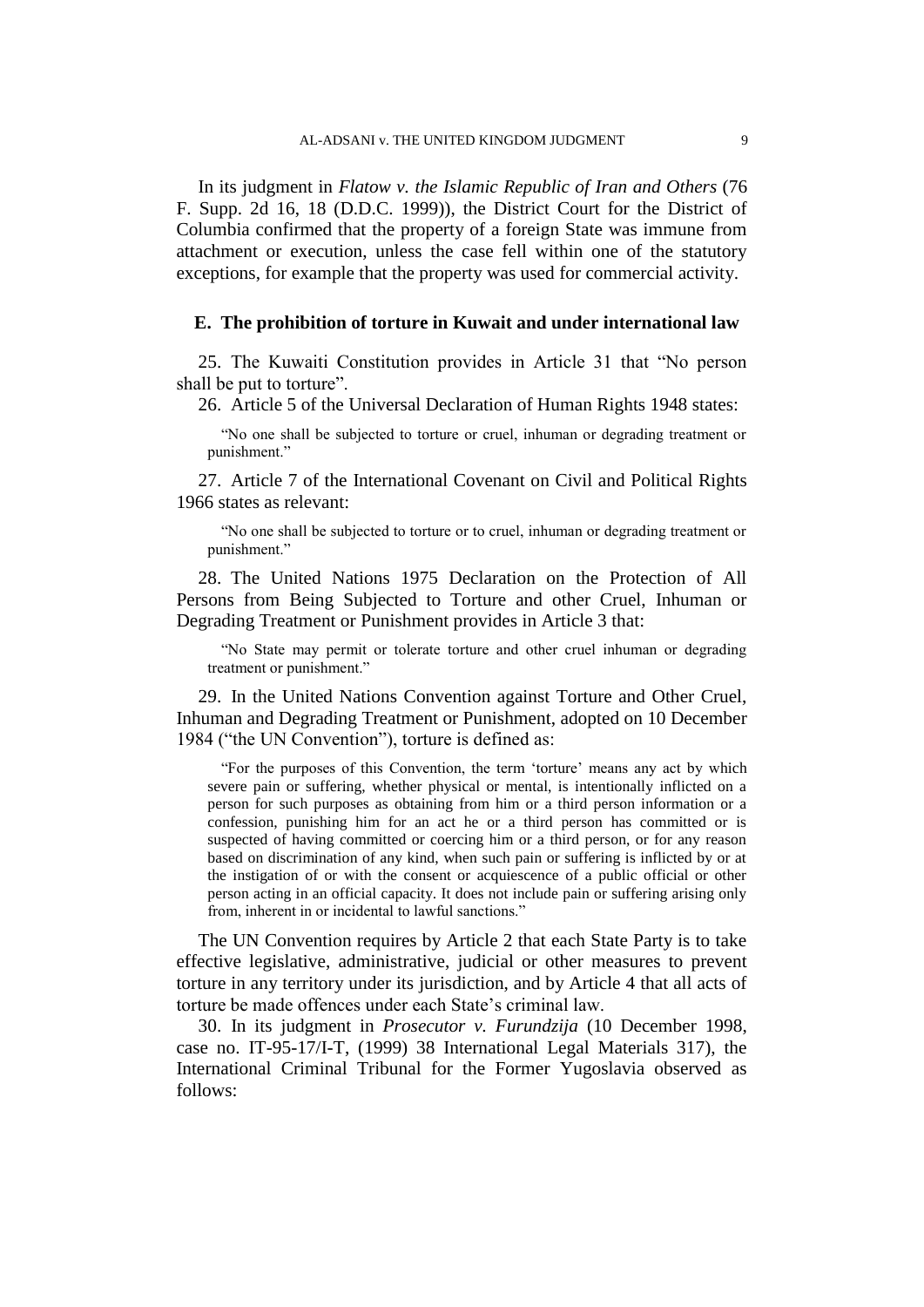In its judgment in *Flatow v. the Islamic Republic of Iran and Others* (76 F. Supp. 2d 16, 18 (D.D.C. 1999)), the District Court for the District of Columbia confirmed that the property of a foreign State was immune from attachment or execution, unless the case fell within one of the statutory exceptions, for example that the property was used for commercial activity.

#### **E. The prohibition of torture in Kuwait and under international law**

25. The Kuwaiti Constitution provides in Article 31 that "No person shall be put to torture".

26. Article 5 of the Universal Declaration of Human Rights 1948 states:

"No one shall be subjected to torture or cruel, inhuman or degrading treatment or punishment."

27. Article 7 of the International Covenant on Civil and Political Rights 1966 states as relevant:

"No one shall be subjected to torture or to cruel, inhuman or degrading treatment or punishment."

28. The United Nations 1975 Declaration on the Protection of All Persons from Being Subjected to Torture and other Cruel, Inhuman or Degrading Treatment or Punishment provides in Article 3 that:

"No State may permit or tolerate torture and other cruel inhuman or degrading treatment or punishment."

29. In the United Nations Convention against Torture and Other Cruel, Inhuman and Degrading Treatment or Punishment, adopted on 10 December 1984 ("the UN Convention"), torture is defined as:

"For the purposes of this Convention, the term "torture" means any act by which severe pain or suffering, whether physical or mental, is intentionally inflicted on a person for such purposes as obtaining from him or a third person information or a confession, punishing him for an act he or a third person has committed or is suspected of having committed or coercing him or a third person, or for any reason based on discrimination of any kind, when such pain or suffering is inflicted by or at the instigation of or with the consent or acquiescence of a public official or other person acting in an official capacity. It does not include pain or suffering arising only from, inherent in or incidental to lawful sanctions."

The UN Convention requires by Article 2 that each State Party is to take effective legislative, administrative, judicial or other measures to prevent torture in any territory under its jurisdiction, and by Article 4 that all acts of torture be made offences under each State's criminal law.

30. In its judgment in *Prosecutor v. Furundzija* (10 December 1998, case no. IT-95-17/I-T, (1999) 38 International Legal Materials 317), the International Criminal Tribunal for the Former Yugoslavia observed as follows: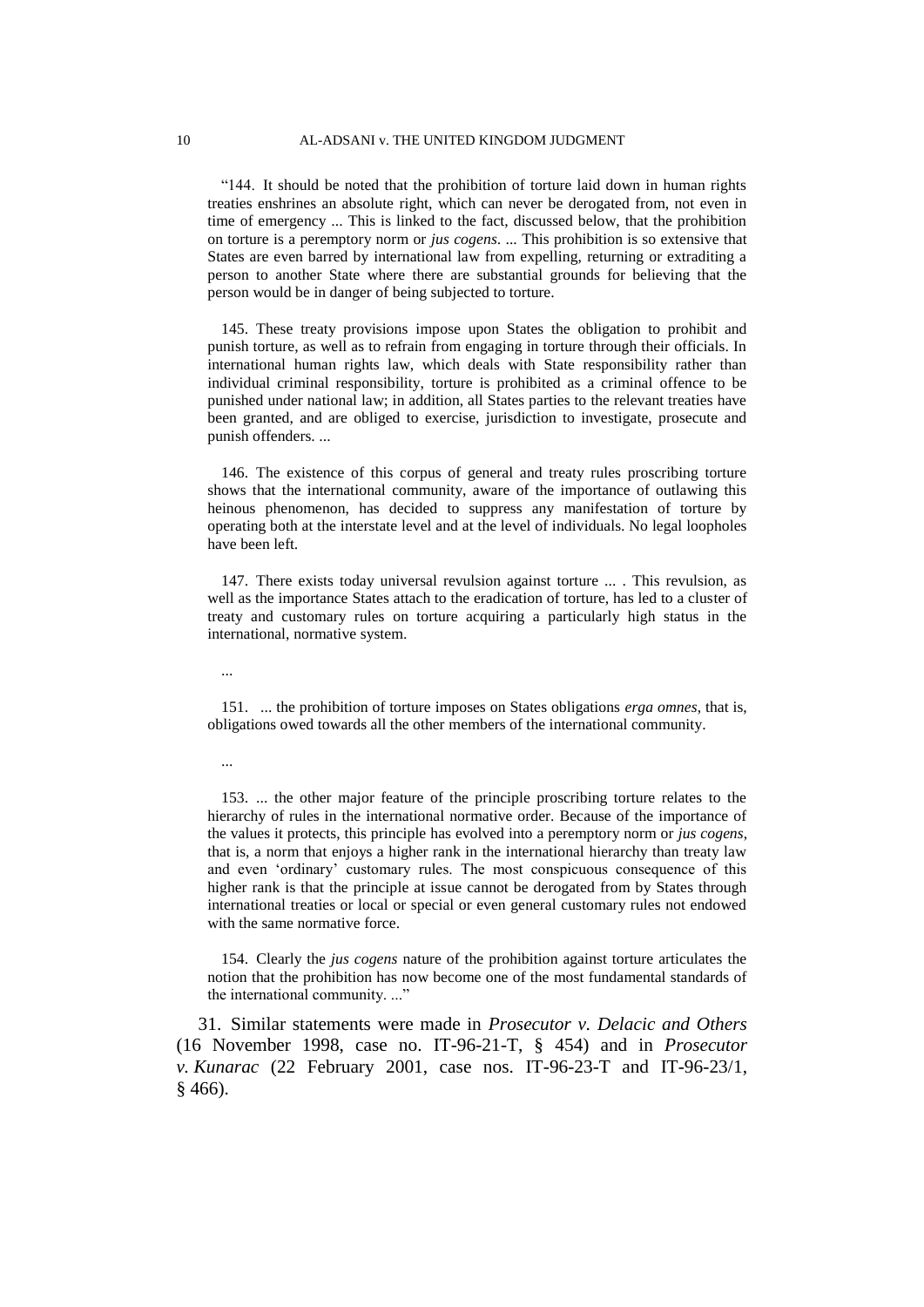"144. It should be noted that the prohibition of torture laid down in human rights treaties enshrines an absolute right, which can never be derogated from, not even in time of emergency ... This is linked to the fact, discussed below, that the prohibition on torture is a peremptory norm or *jus cogens*. ... This prohibition is so extensive that States are even barred by international law from expelling, returning or extraditing a person to another State where there are substantial grounds for believing that the person would be in danger of being subjected to torture.

145. These treaty provisions impose upon States the obligation to prohibit and punish torture, as well as to refrain from engaging in torture through their officials. In international human rights law, which deals with State responsibility rather than individual criminal responsibility, torture is prohibited as a criminal offence to be punished under national law; in addition, all States parties to the relevant treaties have been granted, and are obliged to exercise, jurisdiction to investigate, prosecute and punish offenders. ...

146. The existence of this corpus of general and treaty rules proscribing torture shows that the international community, aware of the importance of outlawing this heinous phenomenon, has decided to suppress any manifestation of torture by operating both at the interstate level and at the level of individuals. No legal loopholes have been left.

147. There exists today universal revulsion against torture ... . This revulsion, as well as the importance States attach to the eradication of torture, has led to a cluster of treaty and customary rules on torture acquiring a particularly high status in the international, normative system.

...

151. ... the prohibition of torture imposes on States obligations *erga omnes*, that is, obligations owed towards all the other members of the international community.

...

153. ... the other major feature of the principle proscribing torture relates to the hierarchy of rules in the international normative order. Because of the importance of the values it protects, this principle has evolved into a peremptory norm or *jus cogens*, that is, a norm that enjoys a higher rank in the international hierarchy than treaty law and even "ordinary" customary rules. The most conspicuous consequence of this higher rank is that the principle at issue cannot be derogated from by States through international treaties or local or special or even general customary rules not endowed with the same normative force.

154. Clearly the *jus cogens* nature of the prohibition against torture articulates the notion that the prohibition has now become one of the most fundamental standards of the international community...."

31. Similar statements were made in *Prosecutor v. Delacic and Others* (16 November 1998, case no. IT-96-21-T, § 454) and in *Prosecutor v. Kunarac* (22 February 2001, case nos. IT-96-23-T and IT-96-23/1, § 466).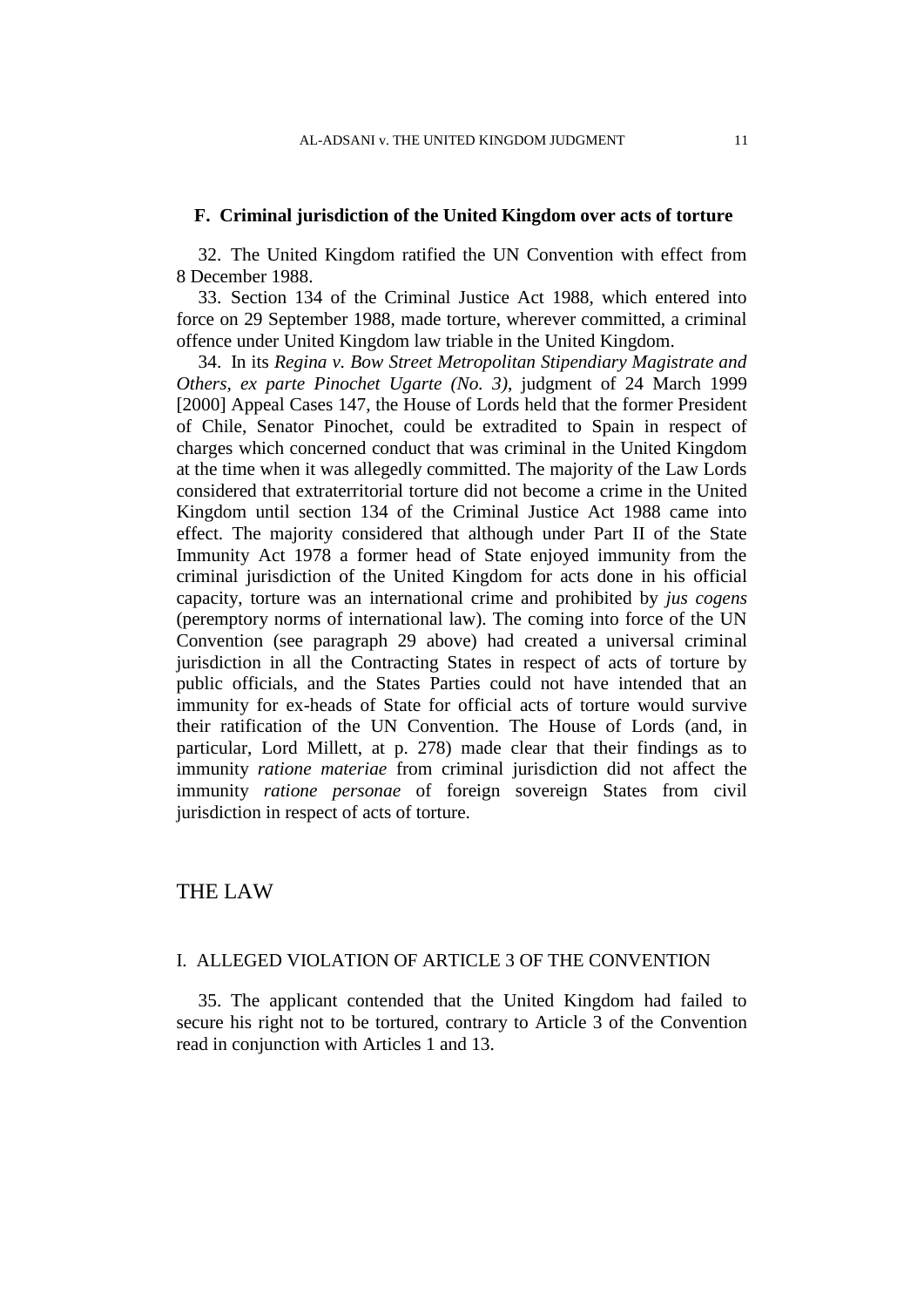#### **F. Criminal jurisdiction of the United Kingdom over acts of torture**

32. The United Kingdom ratified the UN Convention with effect from 8 December 1988.

33. Section 134 of the Criminal Justice Act 1988, which entered into force on 29 September 1988, made torture, wherever committed, a criminal offence under United Kingdom law triable in the United Kingdom.

34. In its *Regina v. Bow Street Metropolitan Stipendiary Magistrate and Others, ex parte Pinochet Ugarte (No. 3)*, judgment of 24 March 1999 [2000] Appeal Cases 147, the House of Lords held that the former President of Chile, Senator Pinochet, could be extradited to Spain in respect of charges which concerned conduct that was criminal in the United Kingdom at the time when it was allegedly committed. The majority of the Law Lords considered that extraterritorial torture did not become a crime in the United Kingdom until section 134 of the Criminal Justice Act 1988 came into effect. The majority considered that although under Part II of the State Immunity Act 1978 a former head of State enjoyed immunity from the criminal jurisdiction of the United Kingdom for acts done in his official capacity, torture was an international crime and prohibited by *jus cogens*  (peremptory norms of international law). The coming into force of the UN Convention (see paragraph 29 above) had created a universal criminal jurisdiction in all the Contracting States in respect of acts of torture by public officials, and the States Parties could not have intended that an immunity for ex-heads of State for official acts of torture would survive their ratification of the UN Convention. The House of Lords (and, in particular, Lord Millett, at p. 278) made clear that their findings as to immunity *ratione materiae* from criminal jurisdiction did not affect the immunity *ratione personae* of foreign sovereign States from civil jurisdiction in respect of acts of torture.

## THE LAW

## I. ALLEGED VIOLATION OF ARTICLE 3 OF THE CONVENTION

35. The applicant contended that the United Kingdom had failed to secure his right not to be tortured, contrary to Article 3 of the Convention read in conjunction with Articles 1 and 13.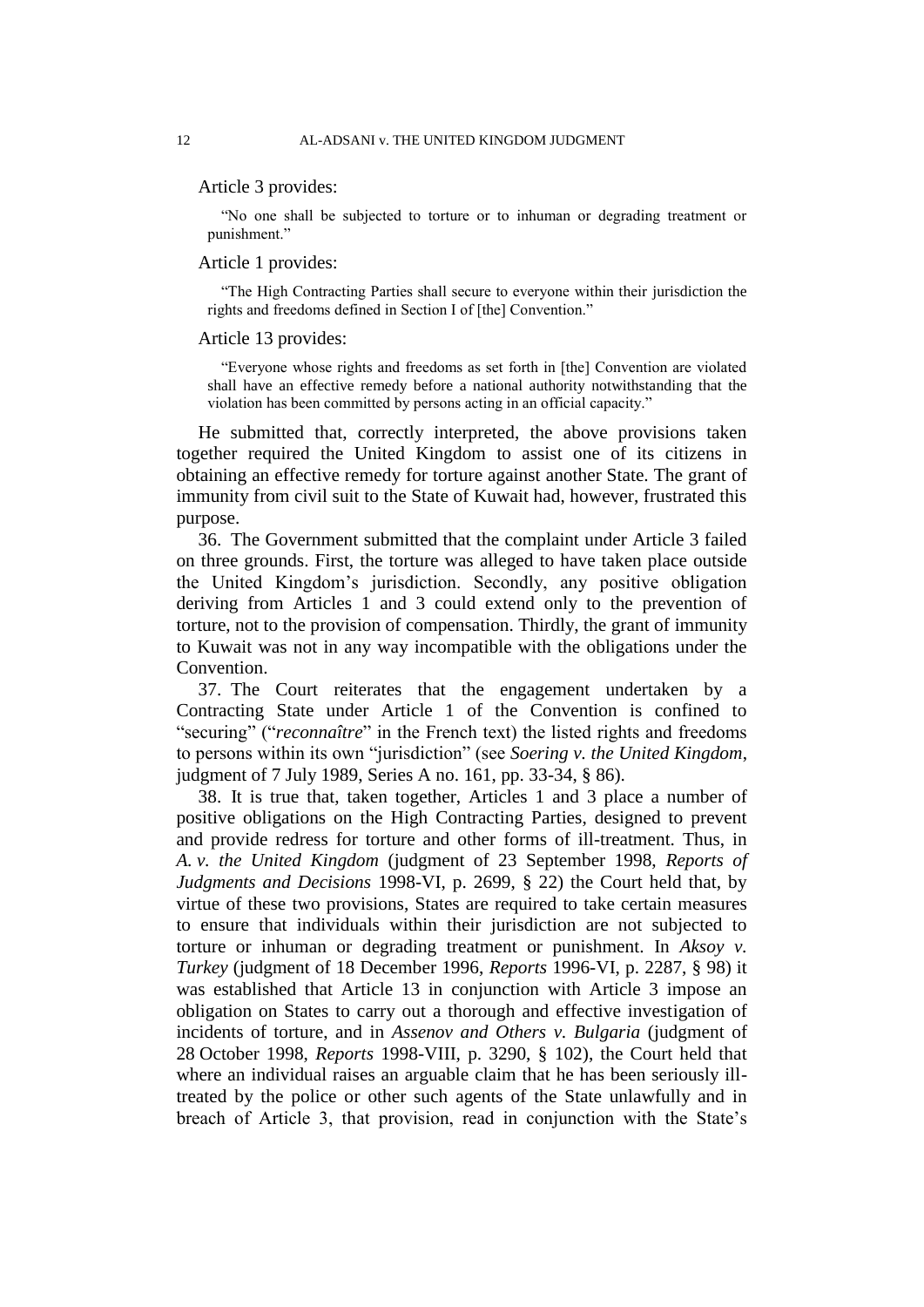#### Article 3 provides:

"No one shall be subjected to torture or to inhuman or degrading treatment or punishment."

#### Article 1 provides:

"The High Contracting Parties shall secure to everyone within their jurisdiction the rights and freedoms defined in Section I of [the] Convention."

#### Article 13 provides:

"Everyone whose rights and freedoms as set forth in [the] Convention are violated shall have an effective remedy before a national authority notwithstanding that the violation has been committed by persons acting in an official capacity."

He submitted that, correctly interpreted, the above provisions taken together required the United Kingdom to assist one of its citizens in obtaining an effective remedy for torture against another State. The grant of immunity from civil suit to the State of Kuwait had, however, frustrated this purpose.

36. The Government submitted that the complaint under Article 3 failed on three grounds. First, the torture was alleged to have taken place outside the United Kingdom"s jurisdiction. Secondly, any positive obligation deriving from Articles 1 and 3 could extend only to the prevention of torture, not to the provision of compensation. Thirdly, the grant of immunity to Kuwait was not in any way incompatible with the obligations under the Convention.

37. The Court reiterates that the engagement undertaken by a Contracting State under Article 1 of the Convention is confined to "securing" ("*reconnaître*" in the French text) the listed rights and freedoms to persons within its own "jurisdiction" (see *Soering v. the United Kingdom*, judgment of 7 July 1989, Series A no. 161, pp. 33-34, § 86).

38. It is true that, taken together, Articles 1 and 3 place a number of positive obligations on the High Contracting Parties, designed to prevent and provide redress for torture and other forms of ill-treatment. Thus, in *A. v. the United Kingdom* (judgment of 23 September 1998, *Reports of Judgments and Decisions* 1998-VI, p. 2699, § 22) the Court held that, by virtue of these two provisions, States are required to take certain measures to ensure that individuals within their jurisdiction are not subjected to torture or inhuman or degrading treatment or punishment. In *Aksoy v. Turkey* (judgment of 18 December 1996, *Reports* 1996-VI, p. 2287, § 98) it was established that Article 13 in conjunction with Article 3 impose an obligation on States to carry out a thorough and effective investigation of incidents of torture, and in *Assenov and Others v. Bulgaria* (judgment of 28 October 1998, *Reports* 1998-VIII, p. 3290, § 102), the Court held that where an individual raises an arguable claim that he has been seriously illtreated by the police or other such agents of the State unlawfully and in breach of Article 3, that provision, read in conjunction with the State"s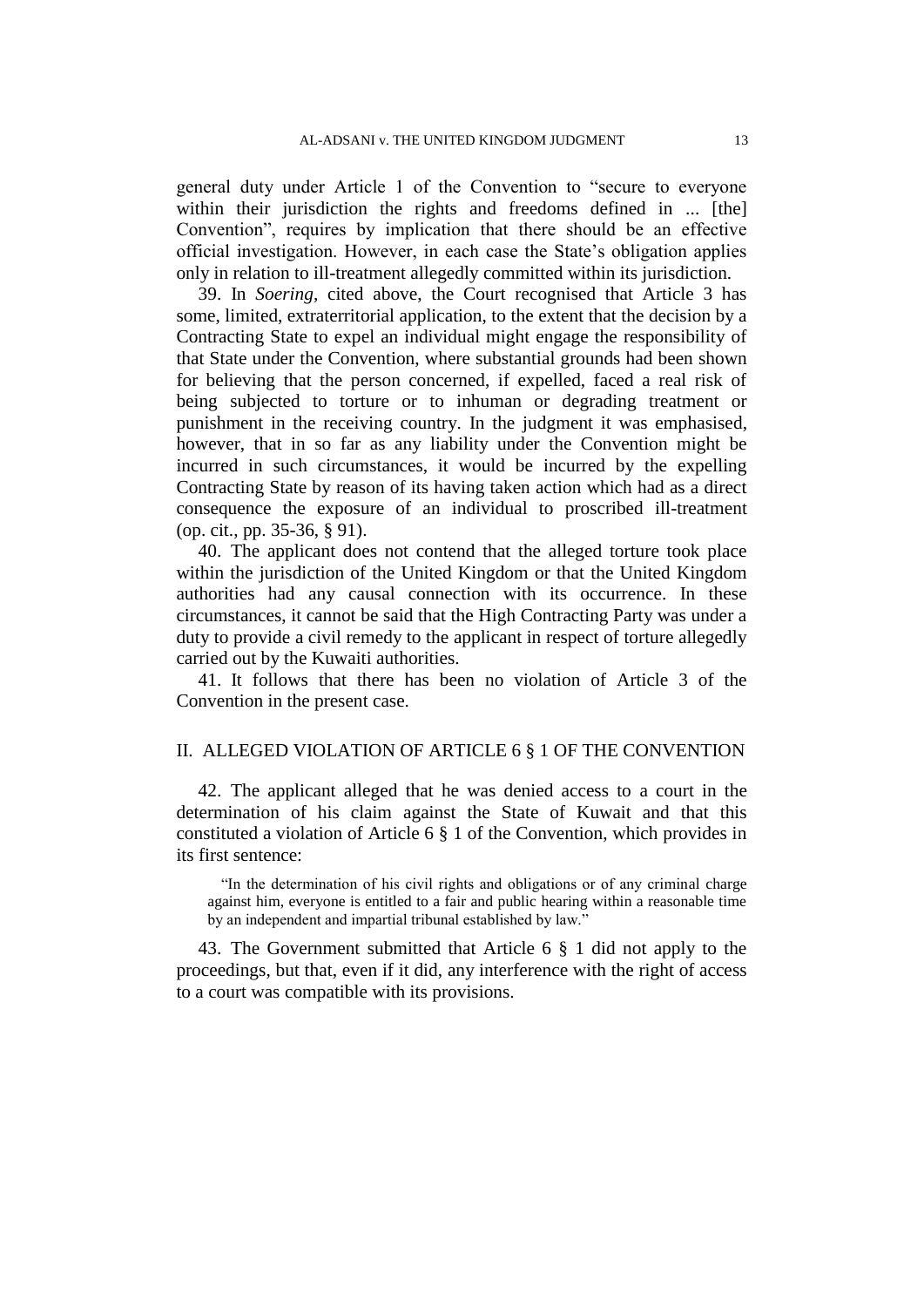general duty under Article 1 of the Convention to "secure to everyone within their jurisdiction the rights and freedoms defined in ... [the] Convention", requires by implication that there should be an effective official investigation. However, in each case the State"s obligation applies only in relation to ill-treatment allegedly committed within its jurisdiction.

39. In *Soering*, cited above, the Court recognised that Article 3 has some, limited, extraterritorial application, to the extent that the decision by a Contracting State to expel an individual might engage the responsibility of that State under the Convention, where substantial grounds had been shown for believing that the person concerned, if expelled, faced a real risk of being subjected to torture or to inhuman or degrading treatment or punishment in the receiving country. In the judgment it was emphasised, however, that in so far as any liability under the Convention might be incurred in such circumstances, it would be incurred by the expelling Contracting State by reason of its having taken action which had as a direct consequence the exposure of an individual to proscribed ill-treatment (op. cit., pp. 35-36, § 91).

40. The applicant does not contend that the alleged torture took place within the jurisdiction of the United Kingdom or that the United Kingdom authorities had any causal connection with its occurrence. In these circumstances, it cannot be said that the High Contracting Party was under a duty to provide a civil remedy to the applicant in respect of torture allegedly carried out by the Kuwaiti authorities.

41. It follows that there has been no violation of Article 3 of the Convention in the present case.

#### II. ALLEGED VIOLATION OF ARTICLE 6 § 1 OF THE CONVENTION

42. The applicant alleged that he was denied access to a court in the determination of his claim against the State of Kuwait and that this constituted a violation of Article 6 § 1 of the Convention, which provides in its first sentence:

"In the determination of his civil rights and obligations or of any criminal charge against him, everyone is entitled to a fair and public hearing within a reasonable time by an independent and impartial tribunal established by law."

43. The Government submitted that Article 6 § 1 did not apply to the proceedings, but that, even if it did, any interference with the right of access to a court was compatible with its provisions.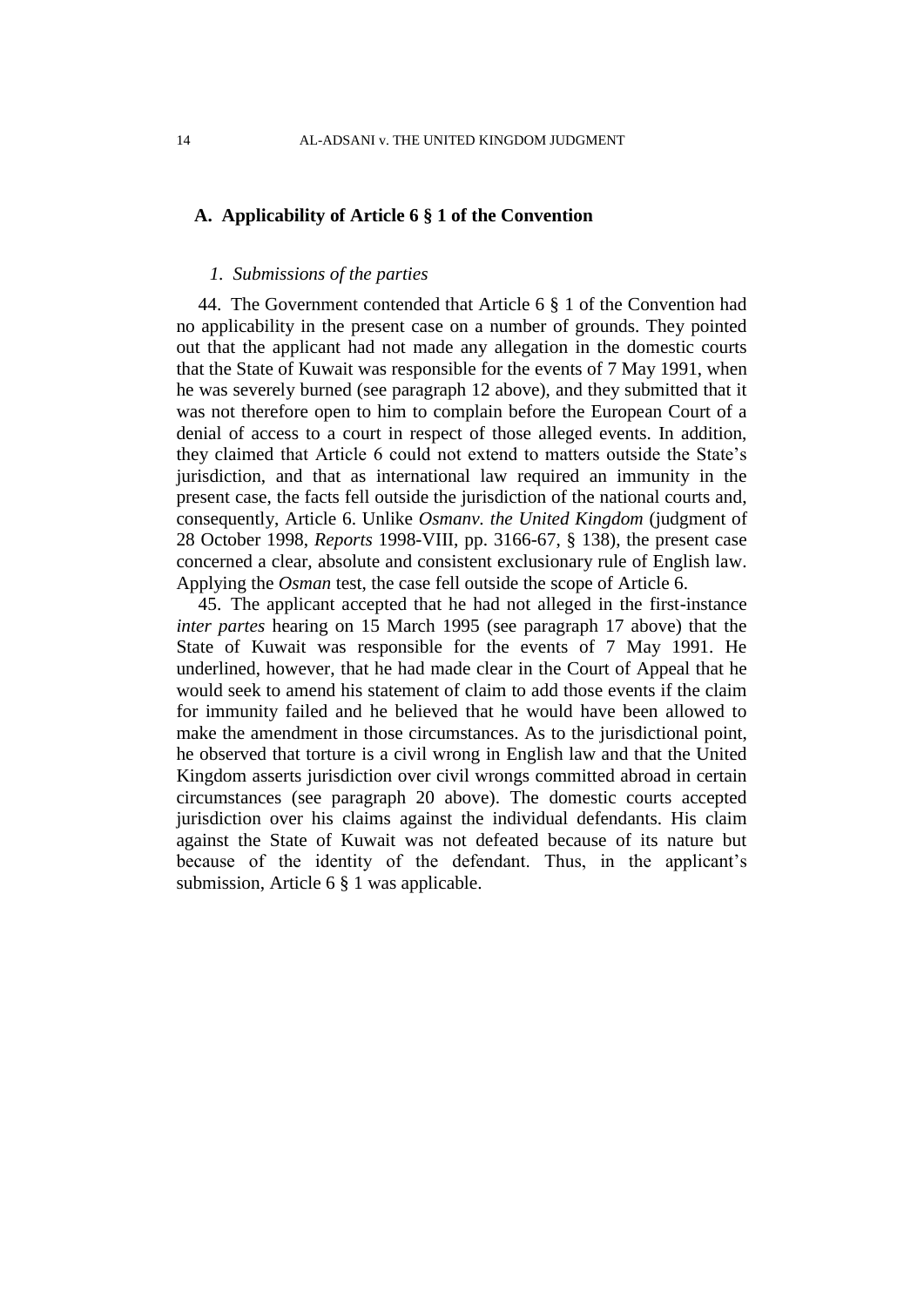### **A. Applicability of Article 6 § 1 of the Convention**

#### *1. Submissions of the parties*

44. The Government contended that Article 6 § 1 of the Convention had no applicability in the present case on a number of grounds. They pointed out that the applicant had not made any allegation in the domestic courts that the State of Kuwait was responsible for the events of 7 May 1991, when he was severely burned (see paragraph 12 above), and they submitted that it was not therefore open to him to complain before the European Court of a denial of access to a court in respect of those alleged events. In addition, they claimed that Article 6 could not extend to matters outside the State"s jurisdiction, and that as international law required an immunity in the present case, the facts fell outside the jurisdiction of the national courts and, consequently, Article 6. Unlike *Osmanv. the United Kingdom* (judgment of 28 October 1998, *Reports* 1998-VIII, pp. 3166-67, § 138), the present case concerned a clear, absolute and consistent exclusionary rule of English law. Applying the *Osman* test, the case fell outside the scope of Article 6.

45. The applicant accepted that he had not alleged in the first-instance *inter partes* hearing on 15 March 1995 (see paragraph 17 above) that the State of Kuwait was responsible for the events of 7 May 1991. He underlined, however, that he had made clear in the Court of Appeal that he would seek to amend his statement of claim to add those events if the claim for immunity failed and he believed that he would have been allowed to make the amendment in those circumstances. As to the jurisdictional point, he observed that torture is a civil wrong in English law and that the United Kingdom asserts jurisdiction over civil wrongs committed abroad in certain circumstances (see paragraph 20 above). The domestic courts accepted jurisdiction over his claims against the individual defendants. His claim against the State of Kuwait was not defeated because of its nature but because of the identity of the defendant. Thus, in the applicant's submission, Article 6 § 1 was applicable.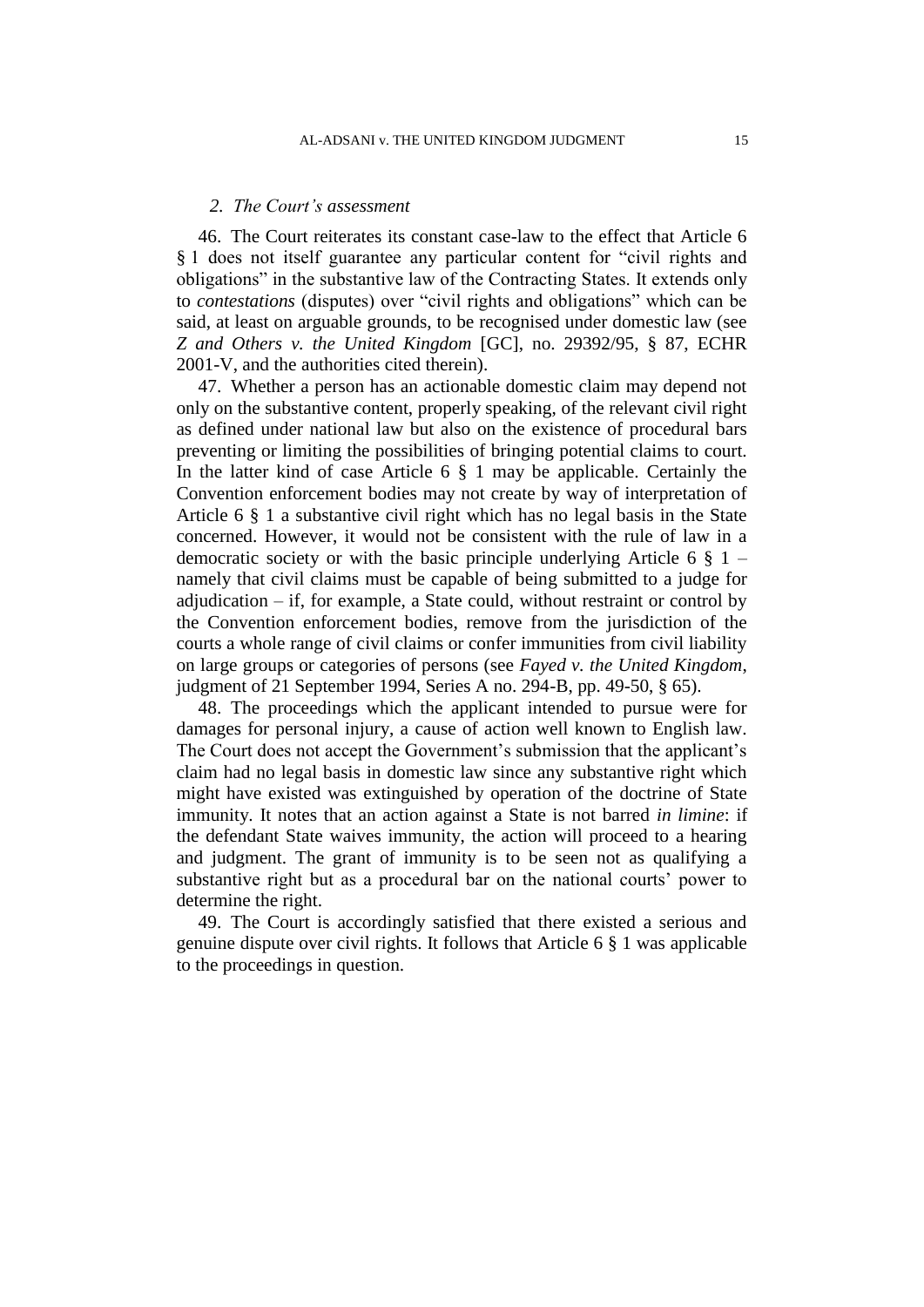#### *2. The Court's assessment*

46. The Court reiterates its constant case-law to the effect that Article 6 § 1 does not itself guarantee any particular content for "civil rights and obligations" in the substantive law of the Contracting States. It extends only to *contestations* (disputes) over "civil rights and obligations" which can be said, at least on arguable grounds, to be recognised under domestic law (see *Z and Others v. the United Kingdom* [GC], no. 29392/95, § 87, ECHR 2001-V, and the authorities cited therein).

47. Whether a person has an actionable domestic claim may depend not only on the substantive content, properly speaking, of the relevant civil right as defined under national law but also on the existence of procedural bars preventing or limiting the possibilities of bringing potential claims to court. In the latter kind of case Article 6 § 1 may be applicable. Certainly the Convention enforcement bodies may not create by way of interpretation of Article 6 § 1 a substantive civil right which has no legal basis in the State concerned. However, it would not be consistent with the rule of law in a democratic society or with the basic principle underlying Article 6  $\S$  1 – namely that civil claims must be capable of being submitted to a judge for adjudication – if, for example, a State could, without restraint or control by the Convention enforcement bodies, remove from the jurisdiction of the courts a whole range of civil claims or confer immunities from civil liability on large groups or categories of persons (see *Fayed v. the United Kingdom*, judgment of 21 September 1994, Series A no. 294-B, pp. 49-50, § 65).

48. The proceedings which the applicant intended to pursue were for damages for personal injury, a cause of action well known to English law. The Court does not accept the Government's submission that the applicant's claim had no legal basis in domestic law since any substantive right which might have existed was extinguished by operation of the doctrine of State immunity. It notes that an action against a State is not barred *in limine*: if the defendant State waives immunity, the action will proceed to a hearing and judgment. The grant of immunity is to be seen not as qualifying a substantive right but as a procedural bar on the national courts' power to determine the right.

49. The Court is accordingly satisfied that there existed a serious and genuine dispute over civil rights. It follows that Article 6 § 1 was applicable to the proceedings in question.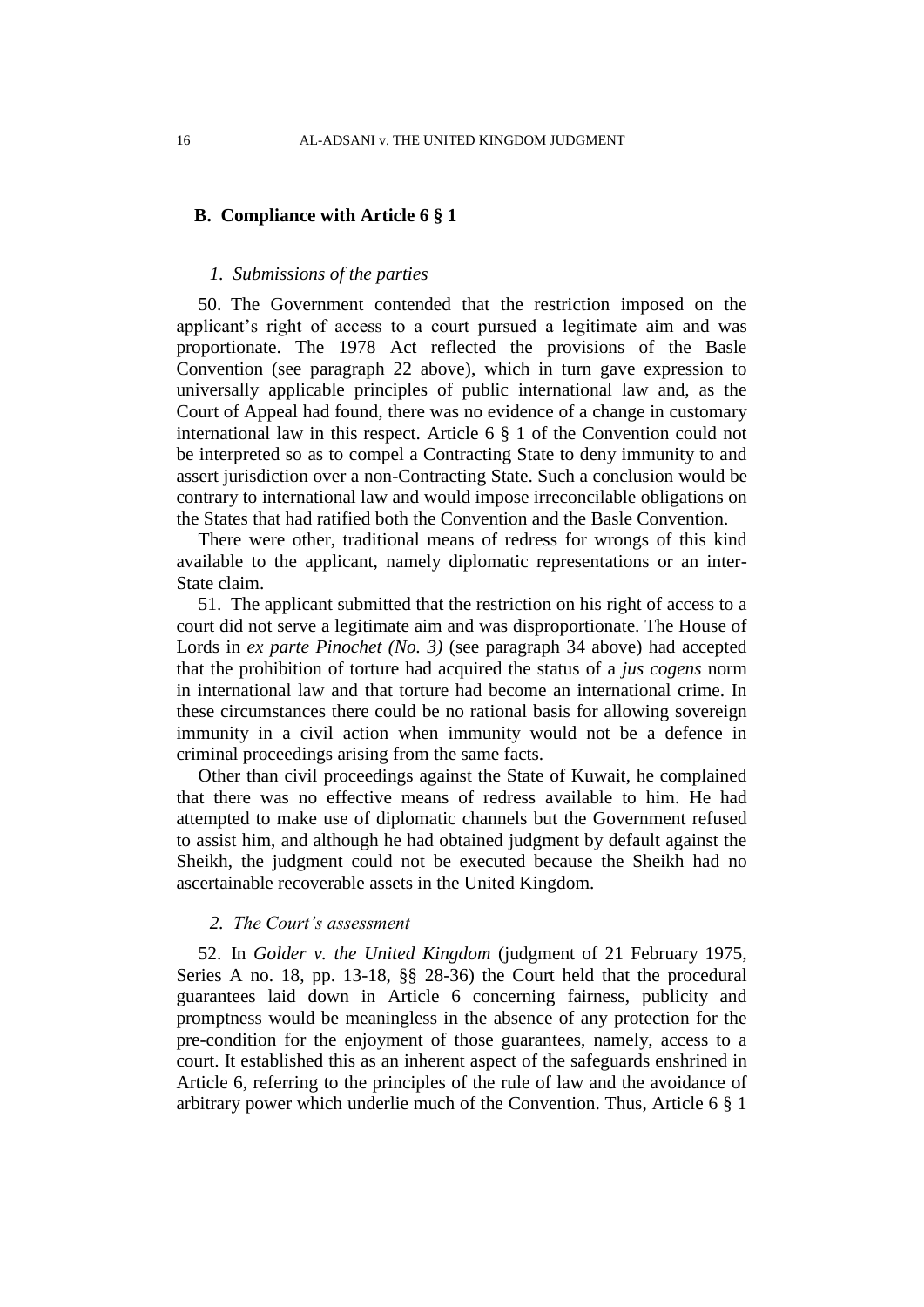### **B. Compliance with Article 6 § 1**

#### *1. Submissions of the parties*

50. The Government contended that the restriction imposed on the applicant"s right of access to a court pursued a legitimate aim and was proportionate. The 1978 Act reflected the provisions of the Basle Convention (see paragraph 22 above), which in turn gave expression to universally applicable principles of public international law and, as the Court of Appeal had found, there was no evidence of a change in customary international law in this respect. Article 6 § 1 of the Convention could not be interpreted so as to compel a Contracting State to deny immunity to and assert jurisdiction over a non-Contracting State. Such a conclusion would be contrary to international law and would impose irreconcilable obligations on the States that had ratified both the Convention and the Basle Convention.

There were other, traditional means of redress for wrongs of this kind available to the applicant, namely diplomatic representations or an inter-State claim.

51. The applicant submitted that the restriction on his right of access to a court did not serve a legitimate aim and was disproportionate. The House of Lords in *ex parte Pinochet (No. 3)* (see paragraph 34 above) had accepted that the prohibition of torture had acquired the status of a *jus cogens* norm in international law and that torture had become an international crime. In these circumstances there could be no rational basis for allowing sovereign immunity in a civil action when immunity would not be a defence in criminal proceedings arising from the same facts.

Other than civil proceedings against the State of Kuwait, he complained that there was no effective means of redress available to him. He had attempted to make use of diplomatic channels but the Government refused to assist him, and although he had obtained judgment by default against the Sheikh, the judgment could not be executed because the Sheikh had no ascertainable recoverable assets in the United Kingdom.

#### *2. The Court's assessment*

52. In *Golder v. the United Kingdom* (judgment of 21 February 1975, Series A no. 18, pp. 13-18, §§ 28-36) the Court held that the procedural guarantees laid down in Article 6 concerning fairness, publicity and promptness would be meaningless in the absence of any protection for the pre-condition for the enjoyment of those guarantees, namely, access to a court. It established this as an inherent aspect of the safeguards enshrined in Article 6, referring to the principles of the rule of law and the avoidance of arbitrary power which underlie much of the Convention. Thus, Article 6 § 1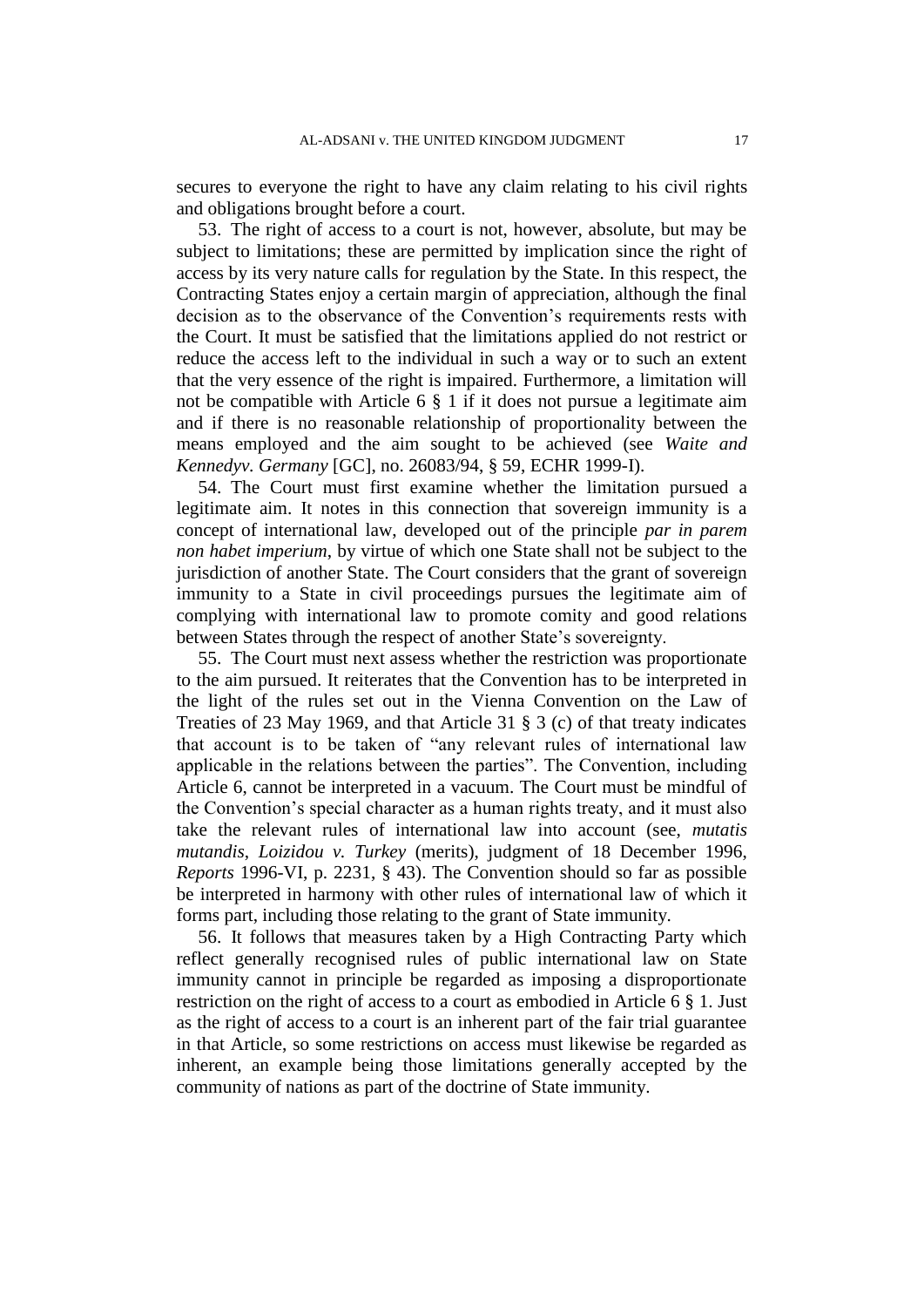secures to everyone the right to have any claim relating to his civil rights and obligations brought before a court.

53. The right of access to a court is not, however, absolute, but may be subject to limitations; these are permitted by implication since the right of access by its very nature calls for regulation by the State. In this respect, the Contracting States enjoy a certain margin of appreciation, although the final decision as to the observance of the Convention's requirements rests with the Court. It must be satisfied that the limitations applied do not restrict or reduce the access left to the individual in such a way or to such an extent that the very essence of the right is impaired. Furthermore, a limitation will not be compatible with Article 6 § 1 if it does not pursue a legitimate aim and if there is no reasonable relationship of proportionality between the means employed and the aim sought to be achieved (see *Waite and Kennedyv. Germany* [GC], no. 26083/94, § 59, ECHR 1999-I).

54. The Court must first examine whether the limitation pursued a legitimate aim. It notes in this connection that sovereign immunity is a concept of international law, developed out of the principle *par in parem non habet imperium*, by virtue of which one State shall not be subject to the jurisdiction of another State. The Court considers that the grant of sovereign immunity to a State in civil proceedings pursues the legitimate aim of complying with international law to promote comity and good relations between States through the respect of another State's sovereignty.

55. The Court must next assess whether the restriction was proportionate to the aim pursued. It reiterates that the Convention has to be interpreted in the light of the rules set out in the Vienna Convention on the Law of Treaties of 23 May 1969, and that Article 31 § 3 (c) of that treaty indicates that account is to be taken of "any relevant rules of international law applicable in the relations between the parties". The Convention, including Article 6, cannot be interpreted in a vacuum. The Court must be mindful of the Convention"s special character as a human rights treaty, and it must also take the relevant rules of international law into account (see, *mutatis mutandis*, *Loizidou v. Turkey* (merits), judgment of 18 December 1996, *Reports* 1996-VI, p. 2231, § 43). The Convention should so far as possible be interpreted in harmony with other rules of international law of which it forms part, including those relating to the grant of State immunity.

56. It follows that measures taken by a High Contracting Party which reflect generally recognised rules of public international law on State immunity cannot in principle be regarded as imposing a disproportionate restriction on the right of access to a court as embodied in Article 6 § 1. Just as the right of access to a court is an inherent part of the fair trial guarantee in that Article, so some restrictions on access must likewise be regarded as inherent, an example being those limitations generally accepted by the community of nations as part of the doctrine of State immunity.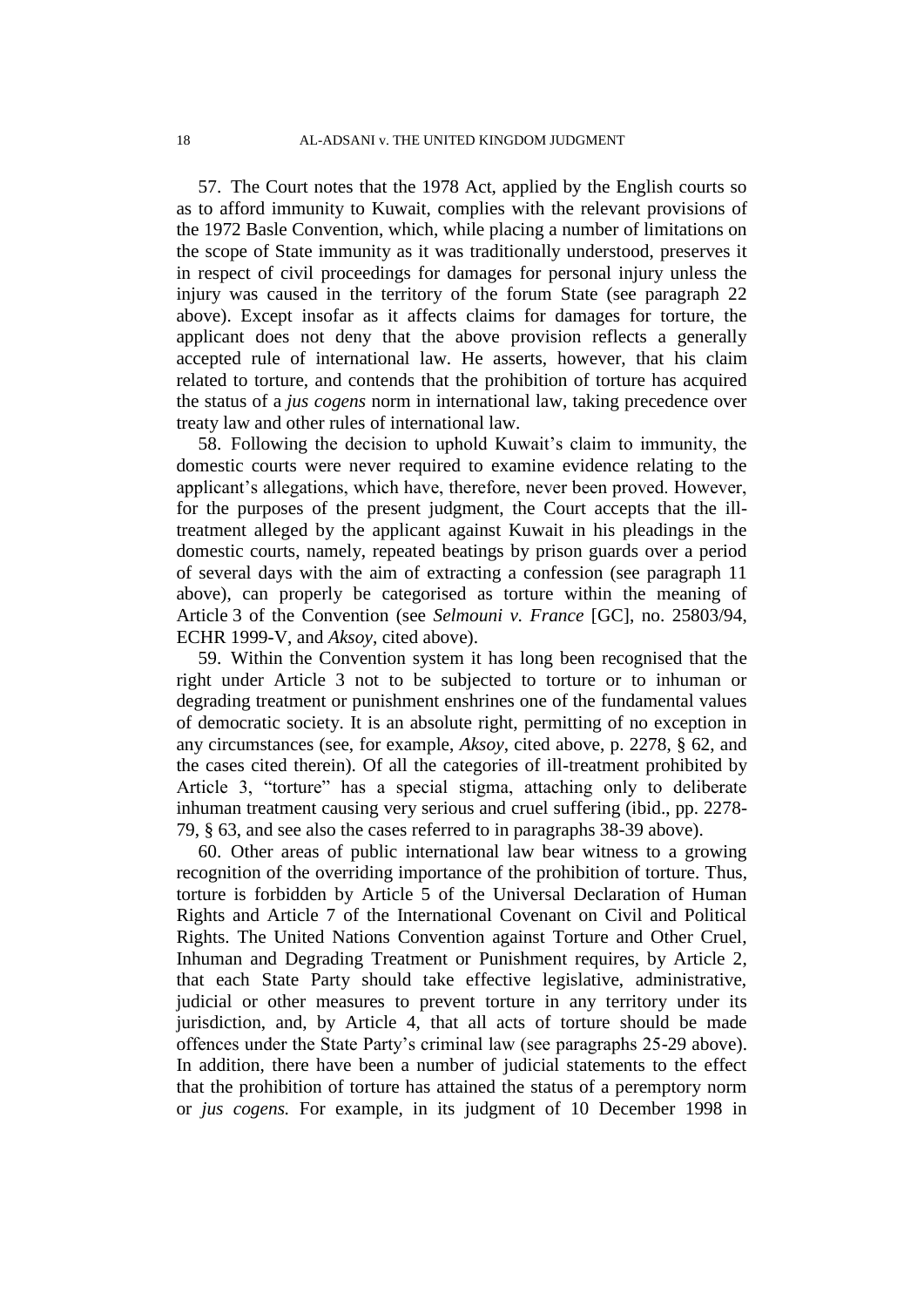57. The Court notes that the 1978 Act, applied by the English courts so as to afford immunity to Kuwait, complies with the relevant provisions of the 1972 Basle Convention, which, while placing a number of limitations on the scope of State immunity as it was traditionally understood, preserves it in respect of civil proceedings for damages for personal injury unless the injury was caused in the territory of the forum State (see paragraph 22 above). Except insofar as it affects claims for damages for torture, the applicant does not deny that the above provision reflects a generally accepted rule of international law. He asserts, however, that his claim related to torture, and contends that the prohibition of torture has acquired the status of a *jus cogens* norm in international law, taking precedence over treaty law and other rules of international law.

58. Following the decision to uphold Kuwait"s claim to immunity, the domestic courts were never required to examine evidence relating to the applicant"s allegations, which have, therefore, never been proved. However, for the purposes of the present judgment, the Court accepts that the illtreatment alleged by the applicant against Kuwait in his pleadings in the domestic courts, namely, repeated beatings by prison guards over a period of several days with the aim of extracting a confession (see paragraph 11 above), can properly be categorised as torture within the meaning of Article 3 of the Convention (see *Selmouni v. France* [GC], no. 25803/94, ECHR 1999-V, and *Aksoy*, cited above).

59. Within the Convention system it has long been recognised that the right under Article 3 not to be subjected to torture or to inhuman or degrading treatment or punishment enshrines one of the fundamental values of democratic society. It is an absolute right, permitting of no exception in any circumstances (see, for example, *Aksoy*, cited above, p. 2278, § 62, and the cases cited therein). Of all the categories of ill-treatment prohibited by Article 3, "torture" has a special stigma, attaching only to deliberate inhuman treatment causing very serious and cruel suffering (ibid., pp. 2278- 79, § 63, and see also the cases referred to in paragraphs 38-39 above).

60. Other areas of public international law bear witness to a growing recognition of the overriding importance of the prohibition of torture. Thus, torture is forbidden by Article 5 of the Universal Declaration of Human Rights and Article 7 of the International Covenant on Civil and Political Rights. The United Nations Convention against Torture and Other Cruel, Inhuman and Degrading Treatment or Punishment requires, by Article 2, that each State Party should take effective legislative, administrative, judicial or other measures to prevent torture in any territory under its jurisdiction, and, by Article 4, that all acts of torture should be made offences under the State Party"s criminal law (see paragraphs 25-29 above). In addition, there have been a number of judicial statements to the effect that the prohibition of torture has attained the status of a peremptory norm or *jus cogens.* For example, in its judgment of 10 December 1998 in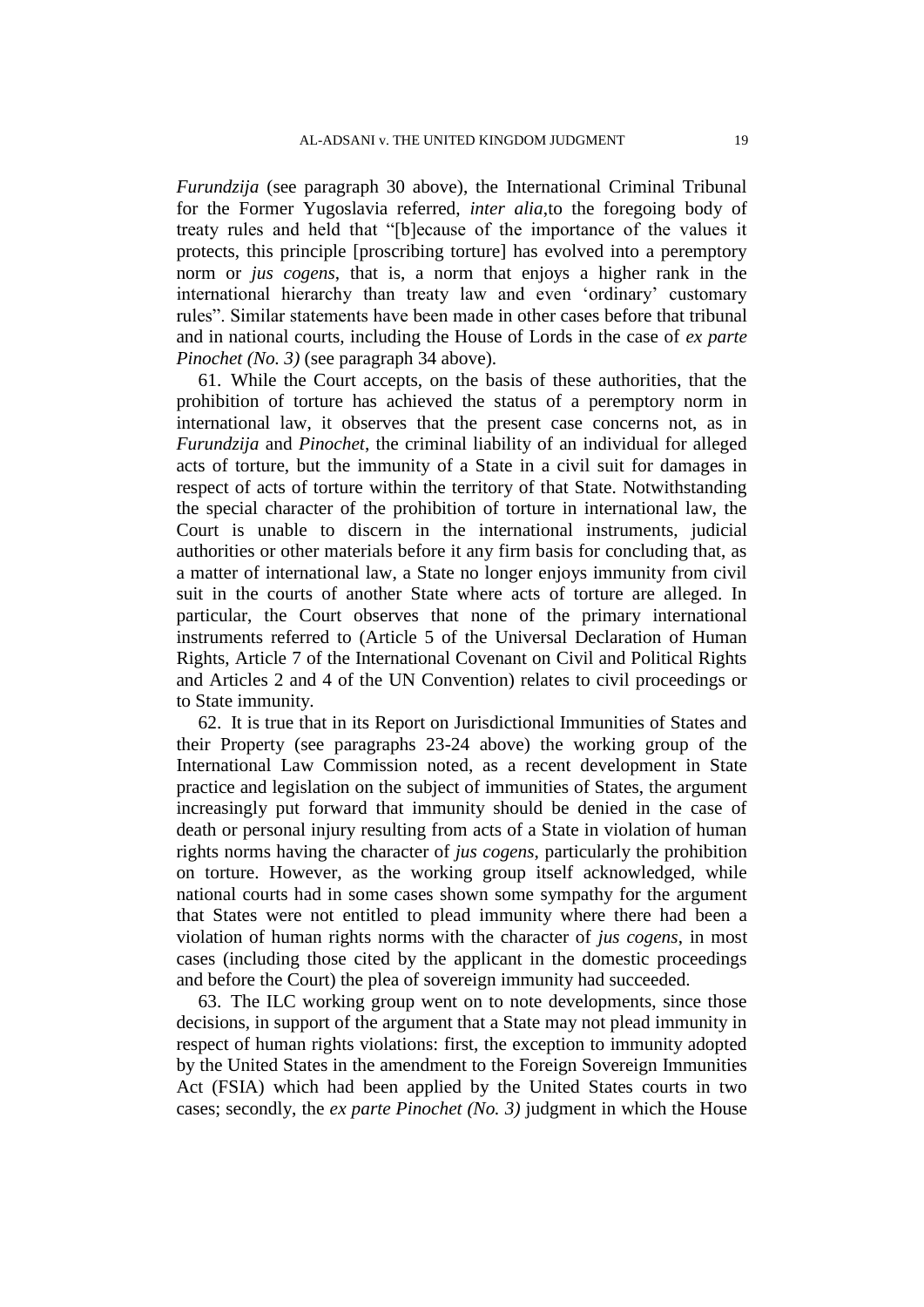*Furundzija* (see paragraph 30 above), the International Criminal Tribunal for the Former Yugoslavia referred, *inter alia*,to the foregoing body of treaty rules and held that "[b]ecause of the importance of the values it protects, this principle [proscribing torture] has evolved into a peremptory norm or *jus cogens*, that is, a norm that enjoys a higher rank in the international hierarchy than treaty law and even "ordinary" customary rules". Similar statements have been made in other cases before that tribunal and in national courts, including the House of Lords in the case of *ex parte Pinochet (No. 3)* (see paragraph 34 above).

61. While the Court accepts, on the basis of these authorities, that the prohibition of torture has achieved the status of a peremptory norm in international law, it observes that the present case concerns not, as in *Furundzija* and *Pinochet*, the criminal liability of an individual for alleged acts of torture, but the immunity of a State in a civil suit for damages in respect of acts of torture within the territory of that State. Notwithstanding the special character of the prohibition of torture in international law, the Court is unable to discern in the international instruments, judicial authorities or other materials before it any firm basis for concluding that, as a matter of international law, a State no longer enjoys immunity from civil suit in the courts of another State where acts of torture are alleged. In particular, the Court observes that none of the primary international instruments referred to (Article 5 of the Universal Declaration of Human Rights, Article 7 of the International Covenant on Civil and Political Rights and Articles 2 and 4 of the UN Convention) relates to civil proceedings or to State immunity.

62. It is true that in its Report on Jurisdictional Immunities of States and their Property (see paragraphs 23-24 above) the working group of the International Law Commission noted, as a recent development in State practice and legislation on the subject of immunities of States, the argument increasingly put forward that immunity should be denied in the case of death or personal injury resulting from acts of a State in violation of human rights norms having the character of *jus cogens*, particularly the prohibition on torture. However, as the working group itself acknowledged, while national courts had in some cases shown some sympathy for the argument that States were not entitled to plead immunity where there had been a violation of human rights norms with the character of *jus cogens*, in most cases (including those cited by the applicant in the domestic proceedings and before the Court) the plea of sovereign immunity had succeeded.

63. The ILC working group went on to note developments, since those decisions, in support of the argument that a State may not plead immunity in respect of human rights violations: first, the exception to immunity adopted by the United States in the amendment to the Foreign Sovereign Immunities Act (FSIA) which had been applied by the United States courts in two cases; secondly, the *ex parte Pinochet (No. 3)* judgment in which the House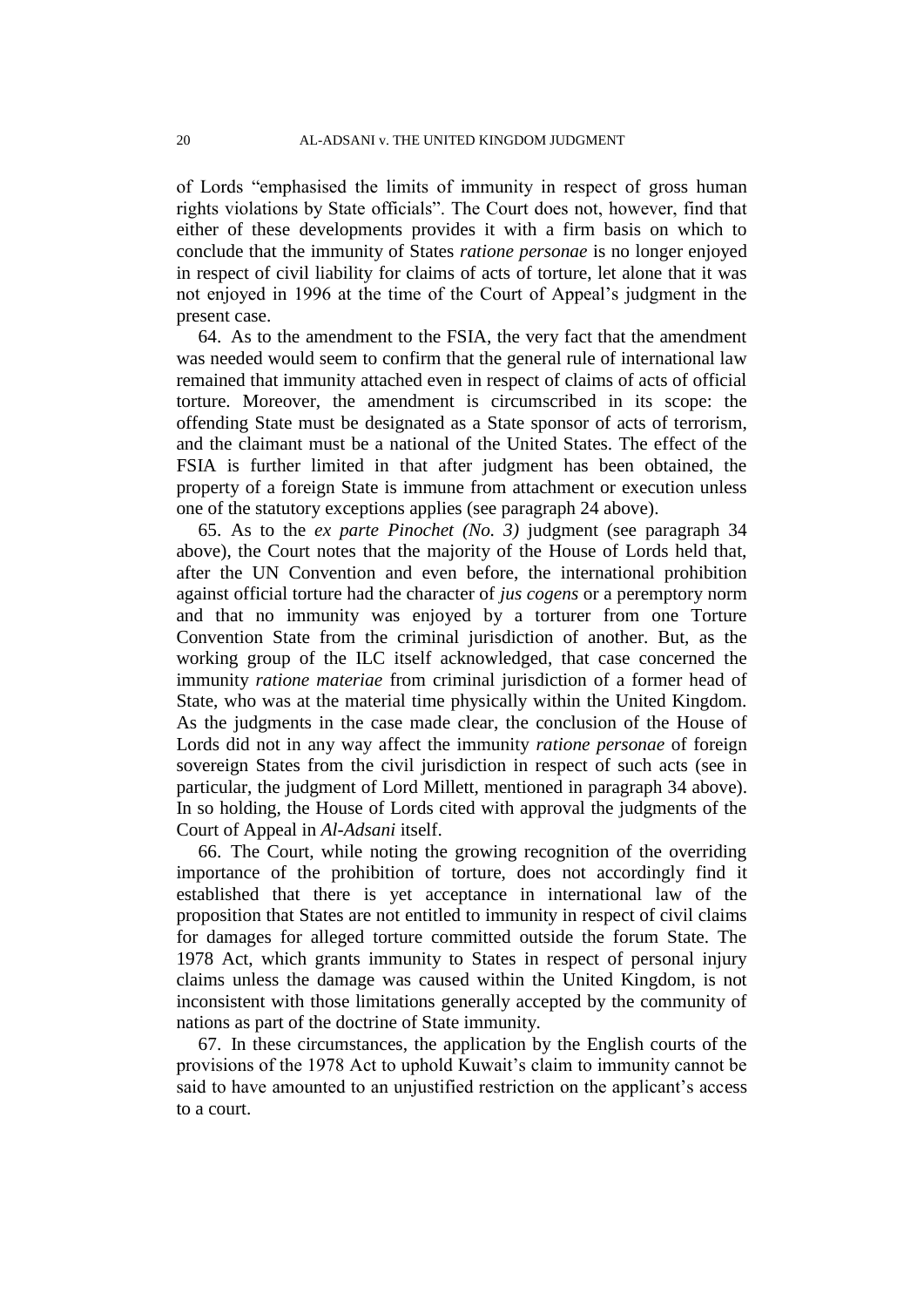of Lords "emphasised the limits of immunity in respect of gross human rights violations by State officials". The Court does not, however, find that either of these developments provides it with a firm basis on which to conclude that the immunity of States *ratione personae* is no longer enjoyed in respect of civil liability for claims of acts of torture, let alone that it was not enjoyed in 1996 at the time of the Court of Appeal"s judgment in the present case.

64. As to the amendment to the FSIA, the very fact that the amendment was needed would seem to confirm that the general rule of international law remained that immunity attached even in respect of claims of acts of official torture. Moreover, the amendment is circumscribed in its scope: the offending State must be designated as a State sponsor of acts of terrorism, and the claimant must be a national of the United States. The effect of the FSIA is further limited in that after judgment has been obtained, the property of a foreign State is immune from attachment or execution unless one of the statutory exceptions applies (see paragraph 24 above).

65. As to the *ex parte Pinochet (No. 3)* judgment (see paragraph 34 above), the Court notes that the majority of the House of Lords held that, after the UN Convention and even before, the international prohibition against official torture had the character of *jus cogens* or a peremptory norm and that no immunity was enjoyed by a torturer from one Torture Convention State from the criminal jurisdiction of another. But, as the working group of the ILC itself acknowledged, that case concerned the immunity *ratione materiae* from criminal jurisdiction of a former head of State, who was at the material time physically within the United Kingdom. As the judgments in the case made clear, the conclusion of the House of Lords did not in any way affect the immunity *ratione personae* of foreign sovereign States from the civil jurisdiction in respect of such acts (see in particular, the judgment of Lord Millett, mentioned in paragraph 34 above). In so holding, the House of Lords cited with approval the judgments of the Court of Appeal in *Al-Adsani* itself.

66. The Court, while noting the growing recognition of the overriding importance of the prohibition of torture, does not accordingly find it established that there is yet acceptance in international law of the proposition that States are not entitled to immunity in respect of civil claims for damages for alleged torture committed outside the forum State. The 1978 Act, which grants immunity to States in respect of personal injury claims unless the damage was caused within the United Kingdom, is not inconsistent with those limitations generally accepted by the community of nations as part of the doctrine of State immunity.

67. In these circumstances, the application by the English courts of the provisions of the 1978 Act to uphold Kuwait's claim to immunity cannot be said to have amounted to an unjustified restriction on the applicant's access to a court.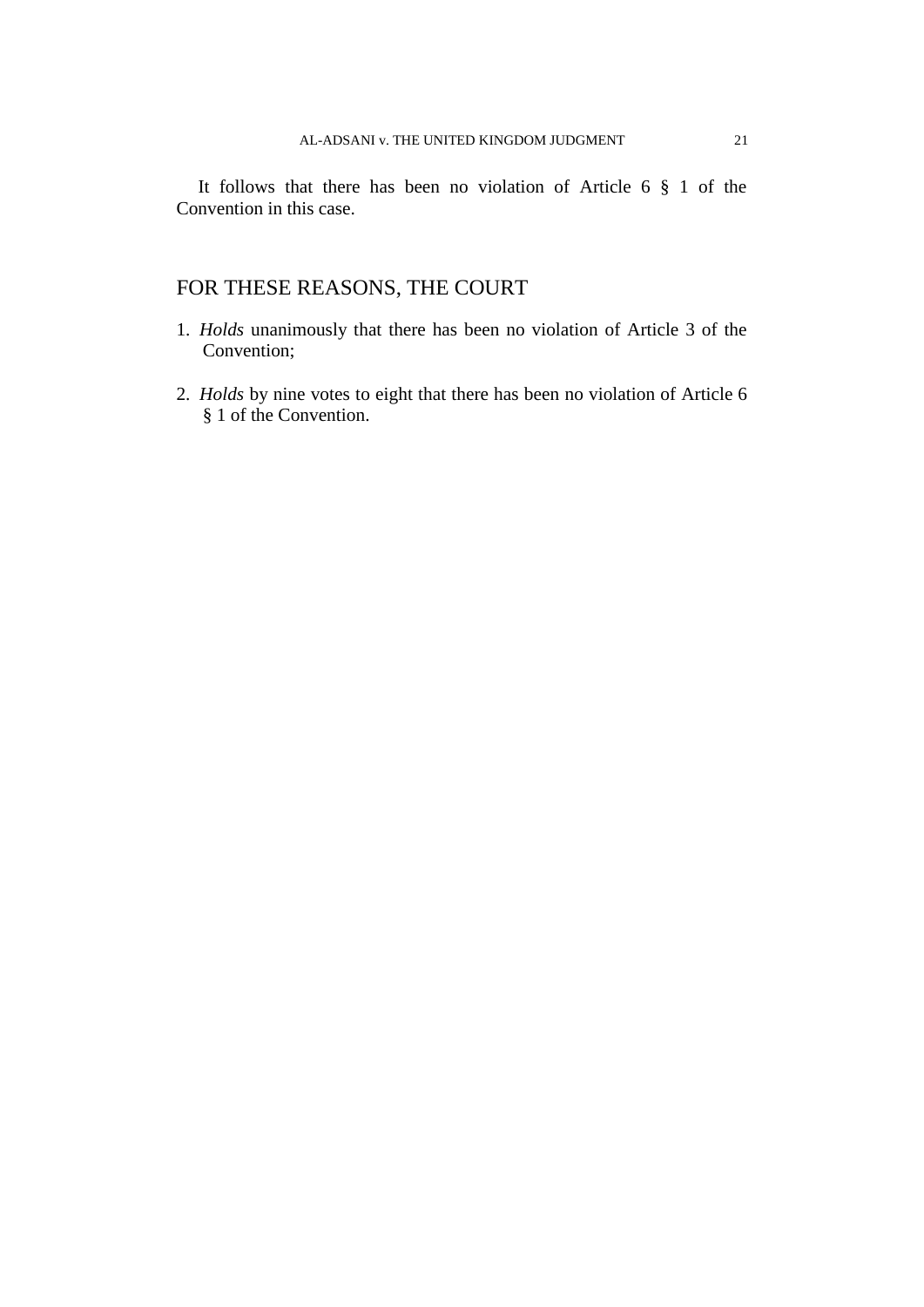It follows that there has been no violation of Article 6 § 1 of the Convention in this case.

## FOR THESE REASONS, THE COURT

- 1. *Holds* unanimously that there has been no violation of Article 3 of the Convention;
- 2. *Holds* by nine votes to eight that there has been no violation of Article 6 § 1 of the Convention.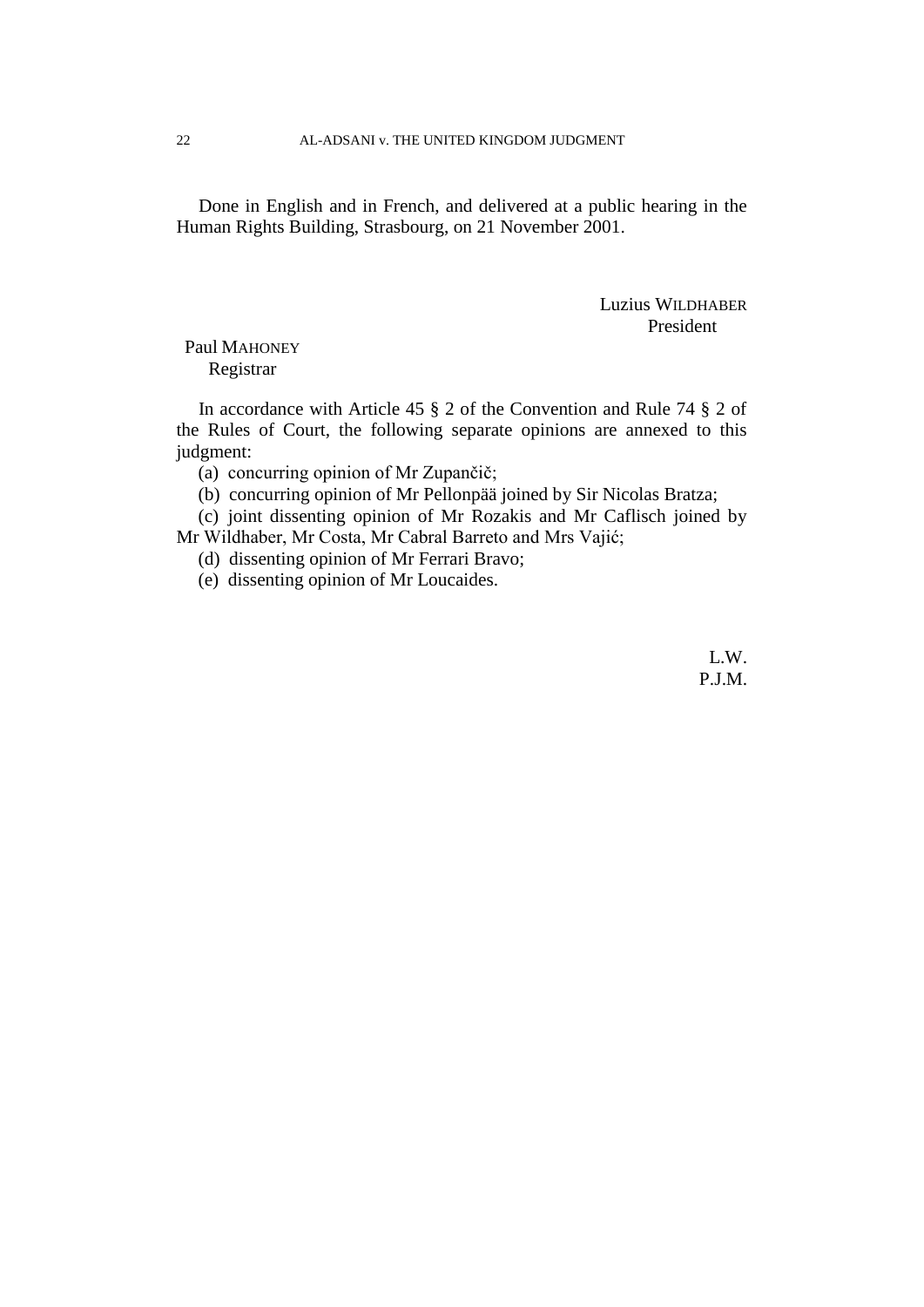Done in English and in French, and delivered at a public hearing in the Human Rights Building, Strasbourg, on 21 November 2001.

> Luzius WILDHABER President

### Paul MAHONEY Registrar

In accordance with Article 45 § 2 of the Convention and Rule 74 § 2 of the Rules of Court, the following separate opinions are annexed to this judgment:

(a) concurring opinion of Mr Zupanĉiĉ;

(b) concurring opinion of Mr Pellonpää joined by Sir Nicolas Bratza;

(c) joint dissenting opinion of Mr Rozakis and Mr Caflisch joined by Mr Wildhaber, Mr Costa, Mr Cabral Barreto and Mrs Vajić;

(d) dissenting opinion of Mr Ferrari Bravo;

(e) dissenting opinion of Mr Loucaides.

L.W. P.J.M.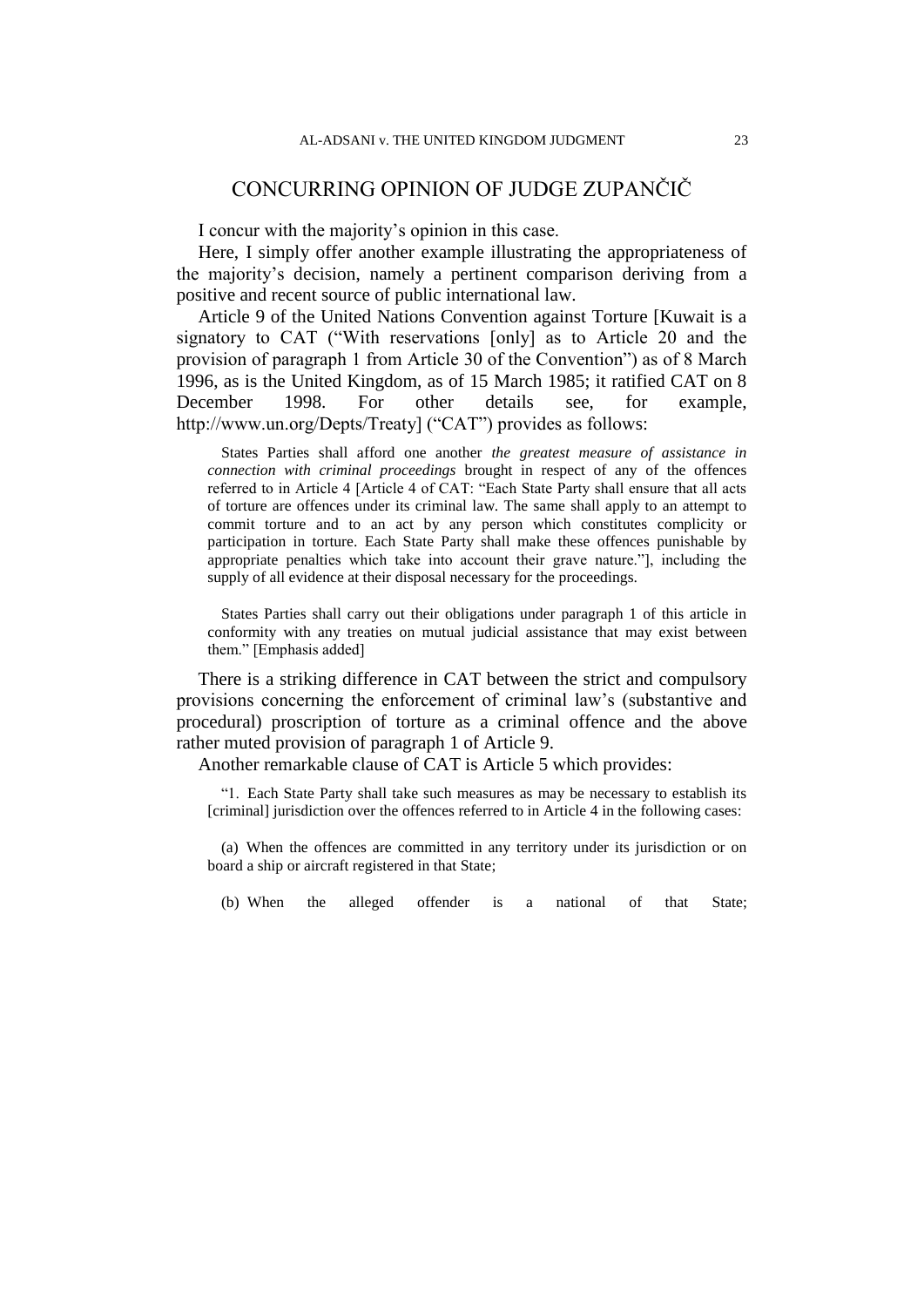## CONCURRING OPINION OF JUDGE ZUPANĈIĈ

I concur with the majority"s opinion in this case.

Here, I simply offer another example illustrating the appropriateness of the majority"s decision, namely a pertinent comparison deriving from a positive and recent source of public international law.

Article 9 of the United Nations Convention against Torture [Kuwait is a signatory to CAT ("With reservations [only] as to Article 20 and the provision of paragraph 1 from Article 30 of the Convention") as of 8 March 1996, as is the United Kingdom, as of 15 March 1985; it ratified CAT on 8 December 1998. For other details see, for example, http://www.un.org/Depts/Treaty] ("CAT") provides as follows:

States Parties shall afford one another *the greatest measure of assistance in connection with criminal proceedings* brought in respect of any of the offences referred to in Article 4 [Article 4 of CAT: "Each State Party shall ensure that all acts of torture are offences under its criminal law. The same shall apply to an attempt to commit torture and to an act by any person which constitutes complicity or participation in torture. Each State Party shall make these offences punishable by appropriate penalties which take into account their grave nature."], including the supply of all evidence at their disposal necessary for the proceedings.

States Parties shall carry out their obligations under paragraph 1 of this article in conformity with any treaties on mutual judicial assistance that may exist between them." [Emphasis added]

There is a striking difference in CAT between the strict and compulsory provisions concerning the enforcement of criminal law"s (substantive and procedural) proscription of torture as a criminal offence and the above rather muted provision of paragraph 1 of Article 9.

Another remarkable clause of CAT is Article 5 which provides:

"1. Each State Party shall take such measures as may be necessary to establish its [criminal] jurisdiction over the offences referred to in Article 4 in the following cases:

(a) When the offences are committed in any territory under its jurisdiction or on board a ship or aircraft registered in that State;

(b) When the alleged offender is a national of that State;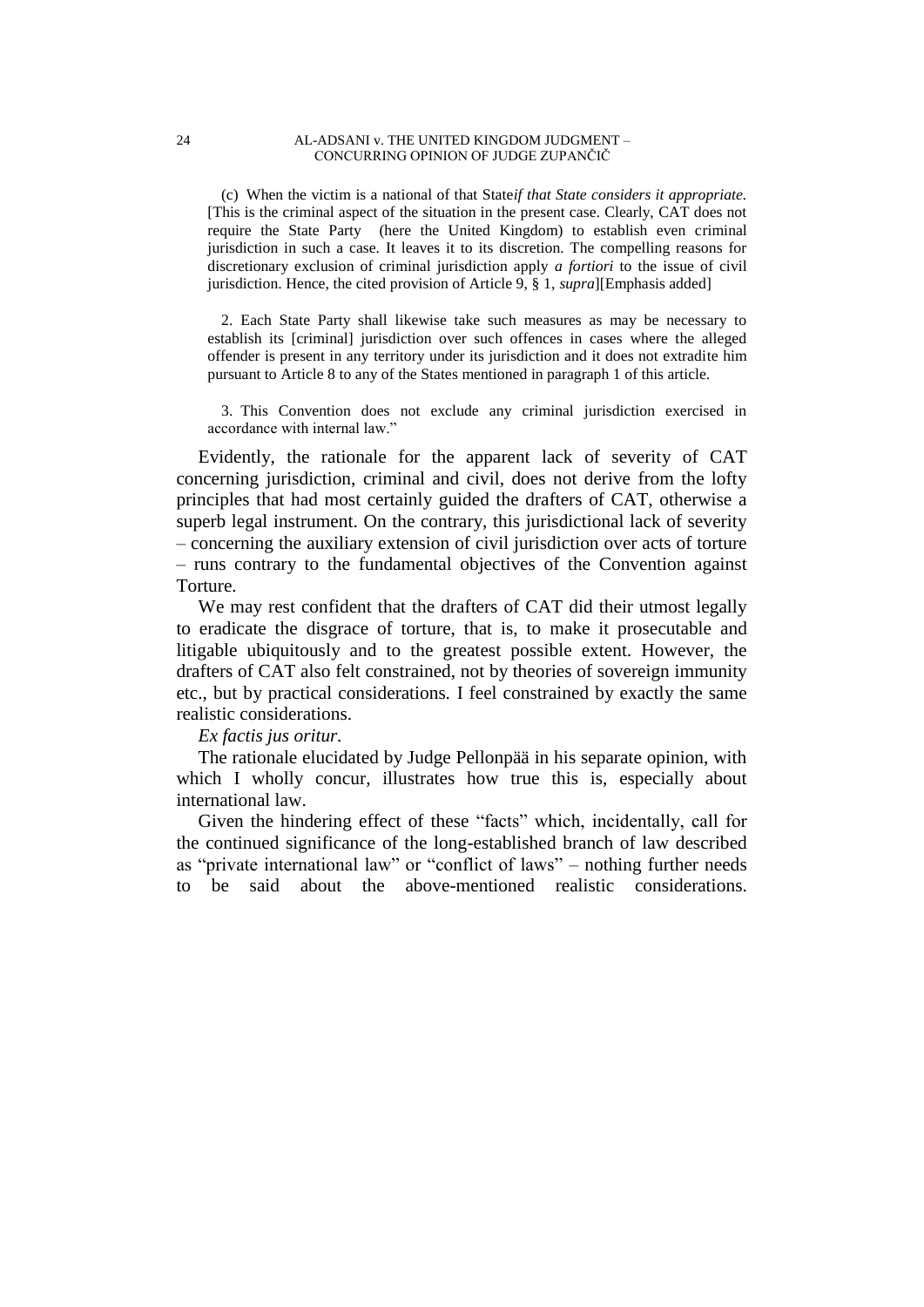#### 24 AL-ADSANI v. THE UNITED KINGDOM JUDGMENT – CONCURRING OPINION OF JUDGE ZUPANĈIĈ

(c)When the victim is a national of that State*if that State considers it appropriate.* [This is the criminal aspect of the situation in the present case. Clearly, CAT does not require the State Party (here the United Kingdom) to establish even criminal jurisdiction in such a case. It leaves it to its discretion. The compelling reasons for discretionary exclusion of criminal jurisdiction apply *a fortiori* to the issue of civil jurisdiction. Hence, the cited provision of Article 9, § 1, *supra*][Emphasis added]

2. Each State Party shall likewise take such measures as may be necessary to establish its [criminal] jurisdiction over such offences in cases where the alleged offender is present in any territory under its jurisdiction and it does not extradite him pursuant to Article 8 to any of the States mentioned in paragraph 1 of this article.

3. This Convention does not exclude any criminal jurisdiction exercised in accordance with internal law.'

Evidently, the rationale for the apparent lack of severity of CAT concerning jurisdiction, criminal and civil, does not derive from the lofty principles that had most certainly guided the drafters of CAT, otherwise a superb legal instrument. On the contrary, this jurisdictional lack of severity – concerning the auxiliary extension of civil jurisdiction over acts of torture – runs contrary to the fundamental objectives of the Convention against Torture.

We may rest confident that the drafters of CAT did their utmost legally to eradicate the disgrace of torture, that is, to make it prosecutable and litigable ubiquitously and to the greatest possible extent. However, the drafters of CAT also felt constrained, not by theories of sovereign immunity etc., but by practical considerations*.* I feel constrained by exactly the same realistic considerations.

*Ex factis jus oritur.*

The rationale elucidated by Judge Pellonpää in his separate opinion, with which I wholly concur, illustrates how true this is, especially about international law.

Given the hindering effect of these "facts" which, incidentally, call for the continued significance of the long-established branch of law described as "private international law" or "conflict of laws" – nothing further needs to be said about the above-mentioned realistic considerations.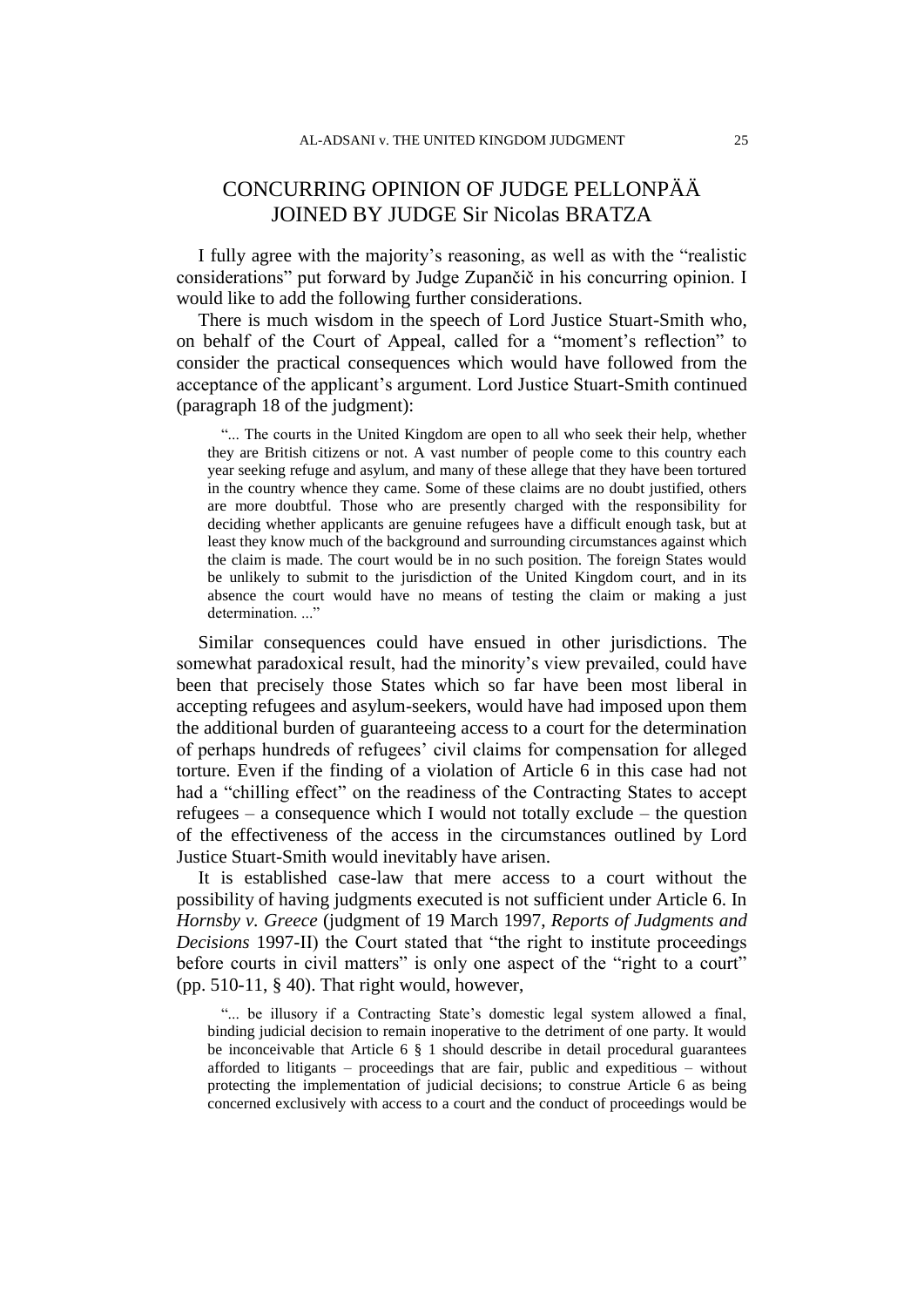## CONCURRING OPINION OF JUDGE PELLONPÄÄ JOINED BY JUDGE Sir Nicolas BRATZA

I fully agree with the majority"s reasoning, as well as with the "realistic considerations" put forward by Judge Zupanĉiĉ in his concurring opinion. I would like to add the following further considerations.

There is much wisdom in the speech of Lord Justice Stuart-Smith who, on behalf of the Court of Appeal, called for a "moment"s reflection" to consider the practical consequences which would have followed from the acceptance of the applicant"s argument. Lord Justice Stuart-Smith continued (paragraph 18 of the judgment):

"... The courts in the United Kingdom are open to all who seek their help, whether they are British citizens or not. A vast number of people come to this country each year seeking refuge and asylum, and many of these allege that they have been tortured in the country whence they came. Some of these claims are no doubt justified, others are more doubtful. Those who are presently charged with the responsibility for deciding whether applicants are genuine refugees have a difficult enough task, but at least they know much of the background and surrounding circumstances against which the claim is made. The court would be in no such position. The foreign States would be unlikely to submit to the jurisdiction of the United Kingdom court, and in its absence the court would have no means of testing the claim or making a just determination..."

Similar consequences could have ensued in other jurisdictions. The somewhat paradoxical result, had the minority's view prevailed, could have been that precisely those States which so far have been most liberal in accepting refugees and asylum-seekers, would have had imposed upon them the additional burden of guaranteeing access to a court for the determination of perhaps hundreds of refugees" civil claims for compensation for alleged torture. Even if the finding of a violation of Article 6 in this case had not had a "chilling effect" on the readiness of the Contracting States to accept refugees – a consequence which I would not totally exclude – the question of the effectiveness of the access in the circumstances outlined by Lord Justice Stuart-Smith would inevitably have arisen.

It is established case-law that mere access to a court without the possibility of having judgments executed is not sufficient under Article 6. In *Hornsby v. Greece* (judgment of 19 March 1997, *Reports of Judgments and Decisions* 1997-II) the Court stated that "the right to institute proceedings before courts in civil matters" is only one aspect of the "right to a court" (pp. 510-11,  $\S$  40). That right would, however,

"... be illusory if a Contracting State's domestic legal system allowed a final, binding judicial decision to remain inoperative to the detriment of one party. It would be inconceivable that Article 6 § 1 should describe in detail procedural guarantees afforded to litigants – proceedings that are fair, public and expeditious – without protecting the implementation of judicial decisions; to construe Article 6 as being concerned exclusively with access to a court and the conduct of proceedings would be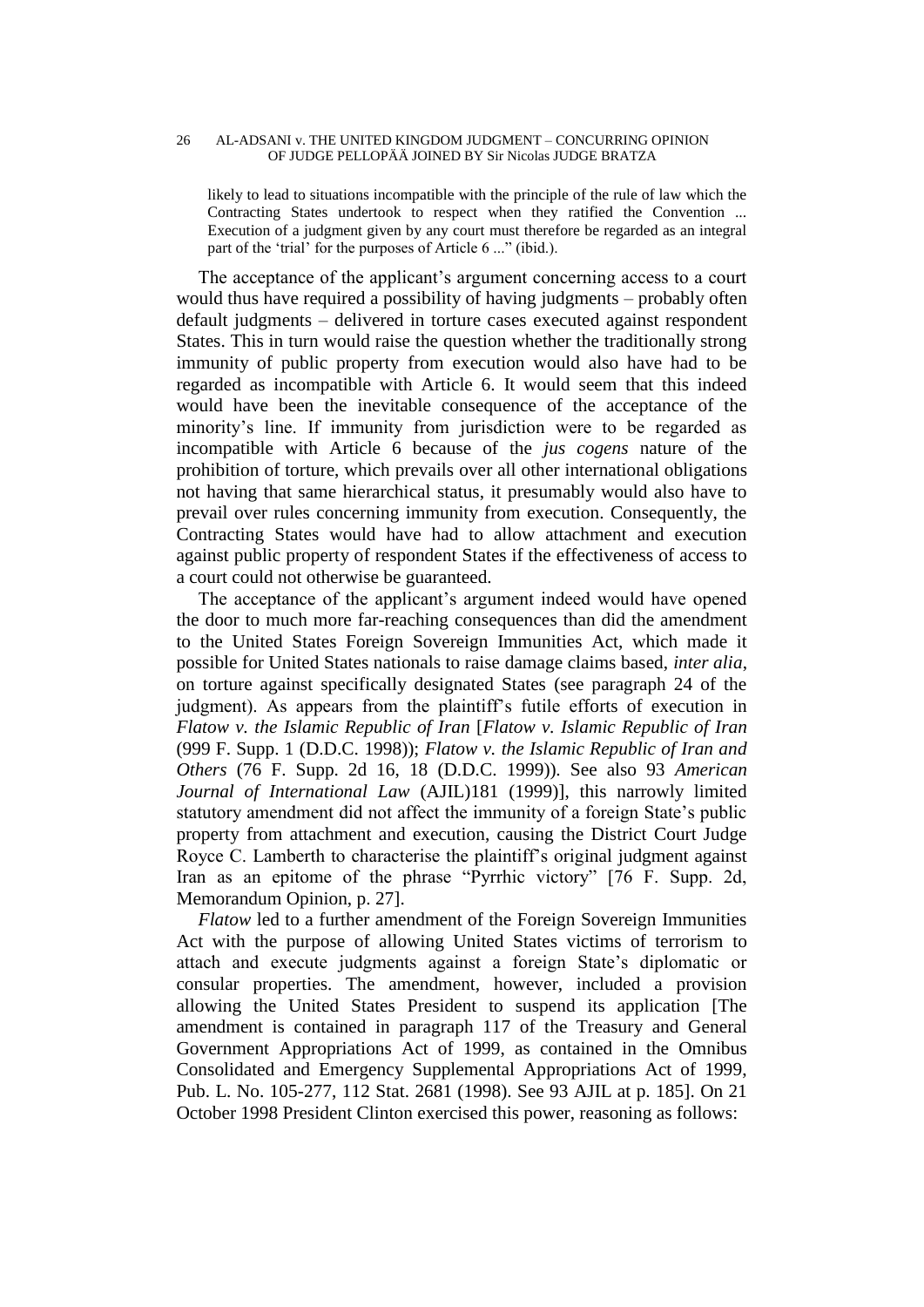#### 26 AL-ADSANI v. THE UNITED KINGDOM JUDGMENT – CONCURRING OPINION OF JUDGE PELLOPÄÄ JOINED BY Sir Nicolas JUDGE BRATZA

likely to lead to situations incompatible with the principle of the rule of law which the Contracting States undertook to respect when they ratified the Convention ... Execution of a judgment given by any court must therefore be regarded as an integral part of the "trial" for the purposes of Article 6 ..." (ibid.).

The acceptance of the applicant's argument concerning access to a court would thus have required a possibility of having judgments – probably often default judgments – delivered in torture cases executed against respondent States. This in turn would raise the question whether the traditionally strong immunity of public property from execution would also have had to be regarded as incompatible with Article 6. It would seem that this indeed would have been the inevitable consequence of the acceptance of the minority's line. If immunity from jurisdiction were to be regarded as incompatible with Article 6 because of the *jus cogens* nature of the prohibition of torture, which prevails over all other international obligations not having that same hierarchical status, it presumably would also have to prevail over rules concerning immunity from execution. Consequently, the Contracting States would have had to allow attachment and execution against public property of respondent States if the effectiveness of access to a court could not otherwise be guaranteed.

The acceptance of the applicant's argument indeed would have opened the door to much more far-reaching consequences than did the amendment to the United States Foreign Sovereign Immunities Act, which made it possible for United States nationals to raise damage claims based, *inter alia*, on torture against specifically designated States (see paragraph 24 of the judgment). As appears from the plaintiff"s futile efforts of execution in *Flatow v. the Islamic Republic of Iran* [*Flatow v. Islamic Republic of Iran* (999 F. Supp. 1 (D.D.C. 1998)); *Flatow v. the Islamic Republic of Iran and Others* (76 F. Supp. 2d 16, 18 (D.D.C. 1999)). See also 93 *American Journal of International Law* (AJIL)181 (1999)], this narrowly limited statutory amendment did not affect the immunity of a foreign State's public property from attachment and execution, causing the District Court Judge Royce C. Lamberth to characterise the plaintiff"s original judgment against Iran as an epitome of the phrase "Pyrrhic victory" [76 F. Supp. 2d, Memorandum Opinion, p. 27].

*Flatow* led to a further amendment of the Foreign Sovereign Immunities Act with the purpose of allowing United States victims of terrorism to attach and execute judgments against a foreign State"s diplomatic or consular properties. The amendment, however, included a provision allowing the United States President to suspend its application [The amendment is contained in paragraph 117 of the Treasury and General Government Appropriations Act of 1999, as contained in the Omnibus Consolidated and Emergency Supplemental Appropriations Act of 1999, Pub. L. No. 105-277, 112 Stat. 2681 (1998). See 93 AJIL at p. 185]. On 21 October 1998 President Clinton exercised this power, reasoning as follows: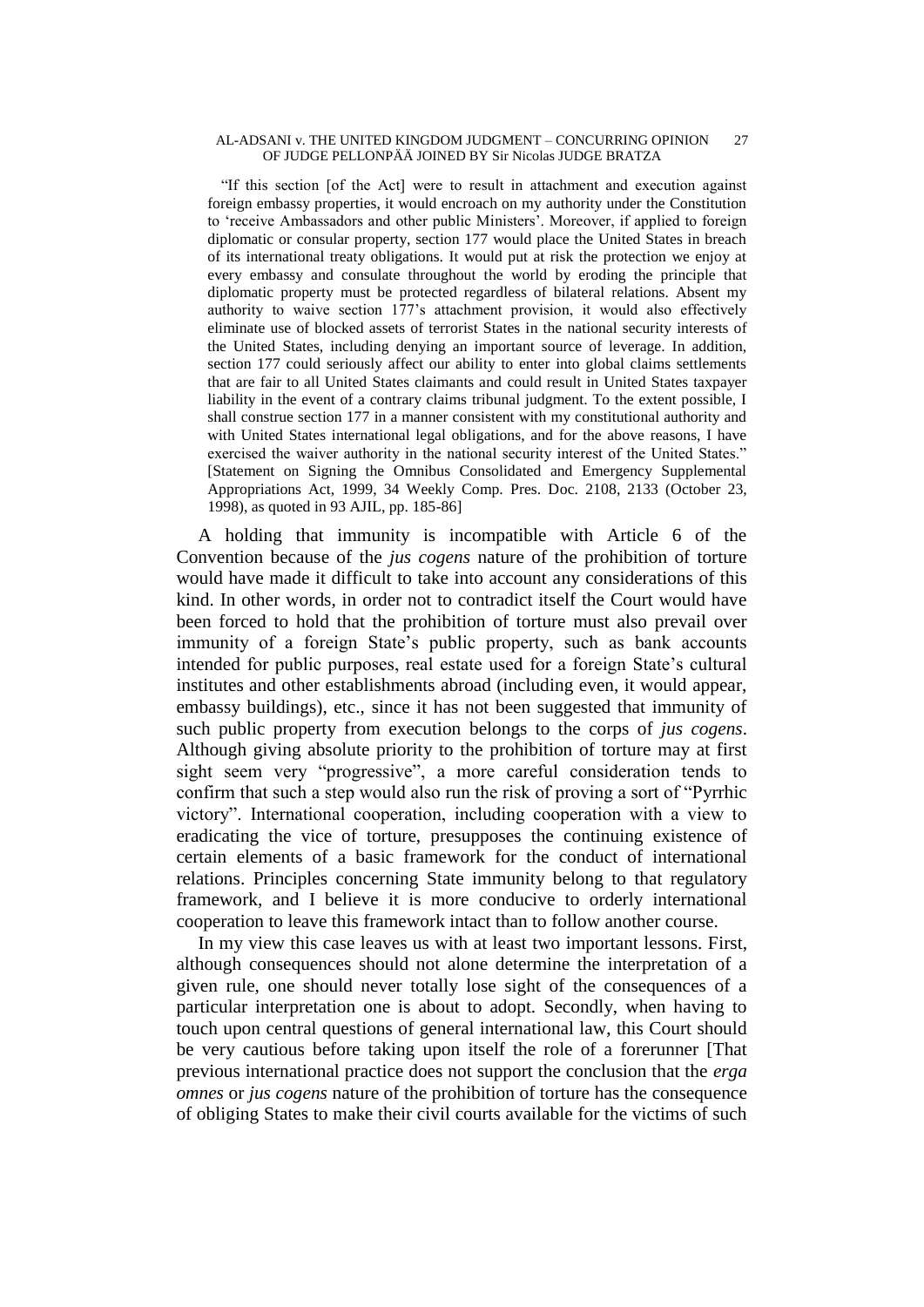#### AL-ADSANI v. THE UNITED KINGDOM JUDGMENT – CONCURRING OPINION 27 OF JUDGE PELLONPÄÄ JOINED BY Sir Nicolas JUDGE BRATZA

"If this section [of the Act] were to result in attachment and execution against foreign embassy properties, it would encroach on my authority under the Constitution to "receive Ambassadors and other public Ministers". Moreover, if applied to foreign diplomatic or consular property, section 177 would place the United States in breach of its international treaty obligations. It would put at risk the protection we enjoy at every embassy and consulate throughout the world by eroding the principle that diplomatic property must be protected regardless of bilateral relations. Absent my authority to waive section 177"s attachment provision, it would also effectively eliminate use of blocked assets of terrorist States in the national security interests of the United States, including denying an important source of leverage. In addition, section 177 could seriously affect our ability to enter into global claims settlements that are fair to all United States claimants and could result in United States taxpayer liability in the event of a contrary claims tribunal judgment. To the extent possible, I shall construe section 177 in a manner consistent with my constitutional authority and with United States international legal obligations, and for the above reasons, I have exercised the waiver authority in the national security interest of the United States." [Statement on Signing the Omnibus Consolidated and Emergency Supplemental Appropriations Act, 1999, 34 Weekly Comp. Pres. Doc. 2108, 2133 (October 23, 1998), as quoted in 93 AJIL, pp. 185-86]

A holding that immunity is incompatible with Article 6 of the Convention because of the *jus cogens* nature of the prohibition of torture would have made it difficult to take into account any considerations of this kind. In other words, in order not to contradict itself the Court would have been forced to hold that the prohibition of torture must also prevail over immunity of a foreign State's public property, such as bank accounts intended for public purposes, real estate used for a foreign State"s cultural institutes and other establishments abroad (including even, it would appear, embassy buildings), etc., since it has not been suggested that immunity of such public property from execution belongs to the corps of *jus cogens*. Although giving absolute priority to the prohibition of torture may at first sight seem very "progressive", a more careful consideration tends to confirm that such a step would also run the risk of proving a sort of "Pyrrhic victory". International cooperation, including cooperation with a view to eradicating the vice of torture, presupposes the continuing existence of certain elements of a basic framework for the conduct of international relations. Principles concerning State immunity belong to that regulatory framework, and I believe it is more conducive to orderly international cooperation to leave this framework intact than to follow another course.

In my view this case leaves us with at least two important lessons. First, although consequences should not alone determine the interpretation of a given rule, one should never totally lose sight of the consequences of a particular interpretation one is about to adopt. Secondly, when having to touch upon central questions of general international law, this Court should be very cautious before taking upon itself the role of a forerunner [That previous international practice does not support the conclusion that the *erga omnes* or *jus cogens* nature of the prohibition of torture has the consequence of obliging States to make their civil courts available for the victims of such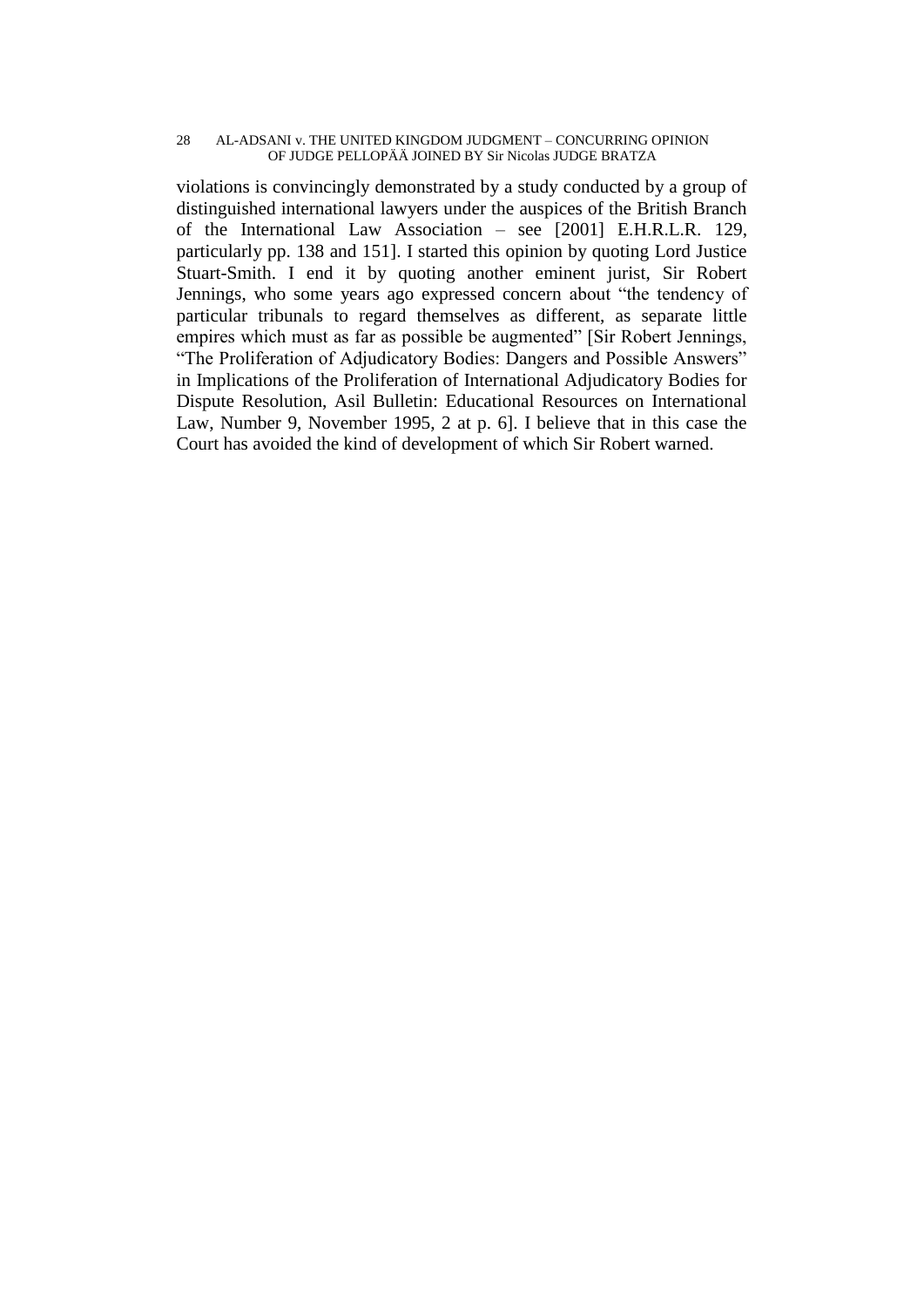#### 28 AL-ADSANI v. THE UNITED KINGDOM JUDGMENT – CONCURRING OPINION OF JUDGE PELLOPÄÄ JOINED BY Sir Nicolas JUDGE BRATZA

violations is convincingly demonstrated by a study conducted by a group of distinguished international lawyers under the auspices of the British Branch of the International Law Association – see [2001] E.H.R.L.R. 129, particularly pp. 138 and 151]. I started this opinion by quoting Lord Justice Stuart-Smith. I end it by quoting another eminent jurist, Sir Robert Jennings, who some years ago expressed concern about "the tendency of particular tribunals to regard themselves as different, as separate little empires which must as far as possible be augmented" [Sir Robert Jennings, "The Proliferation of Adjudicatory Bodies: Dangers and Possible Answers" in Implications of the Proliferation of International Adjudicatory Bodies for Dispute Resolution, Asil Bulletin: Educational Resources on International Law, Number 9, November 1995, 2 at p. 6]. I believe that in this case the Court has avoided the kind of development of which Sir Robert warned.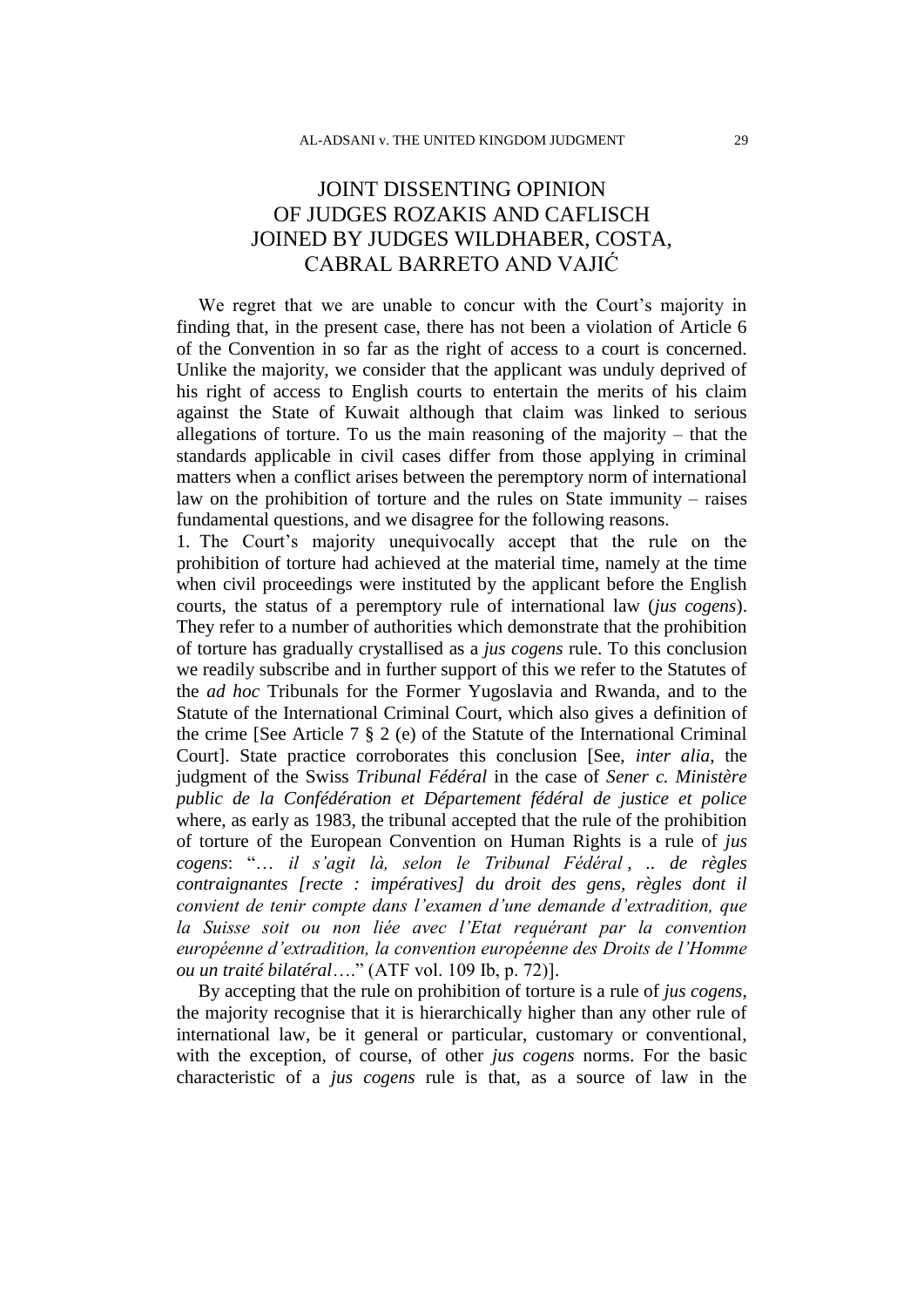## JOINT DISSENTING OPINION OF JUDGES ROZAKIS AND CAFLISCH JOINED BY JUDGES WILDHABER, COSTA, CABRAL BARRETO AND VAJIĆ

We regret that we are unable to concur with the Court's majority in finding that, in the present case, there has not been a violation of Article 6 of the Convention in so far as the right of access to a court is concerned. Unlike the majority, we consider that the applicant was unduly deprived of his right of access to English courts to entertain the merits of his claim against the State of Kuwait although that claim was linked to serious allegations of torture. To us the main reasoning of the majority – that the standards applicable in civil cases differ from those applying in criminal matters when a conflict arises between the peremptory norm of international law on the prohibition of torture and the rules on State immunity – raises fundamental questions, and we disagree for the following reasons.

1. The Court"s majority unequivocally accept that the rule on the prohibition of torture had achieved at the material time, namely at the time when civil proceedings were instituted by the applicant before the English courts, the status of a peremptory rule of international law (*jus cogens*). They refer to a number of authorities which demonstrate that the prohibition of torture has gradually crystallised as a *jus cogens* rule. To this conclusion we readily subscribe and in further support of this we refer to the Statutes of the *ad hoc* Tribunals for the Former Yugoslavia and Rwanda, and to the Statute of the International Criminal Court, which also gives a definition of the crime [See Article  $7 \tbinom{8}{9} 2$  (e) of the Statute of the International Criminal Court]. State practice corroborates this conclusion [See, *inter alia*, the judgment of the Swiss *Tribunal Fédéral* in the case of *Sener c. Ministère public de la Confédération et Département fédéral de justice et police* where, as early as 1983, the tribunal accepted that the rule of the prohibition of torture of the European Convention on Human Rights is a rule of *jus cogens*: "… *il s'agit là, selon le Tribunal Fédéral , .. de règles contraignantes [recte : impératives] du droit des gens, règles dont il convient de tenir compte dans l'examen d'une demande d'extradition, que la Suisse soit ou non liée avec l'Etat requérant par la convention européenne d'extradition, la convention européenne des Droits de l'Homme ou un traité bilatéral*…." (ATF vol. 109 Ib, p. 72)].

By accepting that the rule on prohibition of torture is a rule of *jus cogens*, the majority recognise that it is hierarchically higher than any other rule of international law, be it general or particular, customary or conventional, with the exception, of course, of other *jus cogens* norms. For the basic characteristic of a *jus cogens* rule is that, as a source of law in the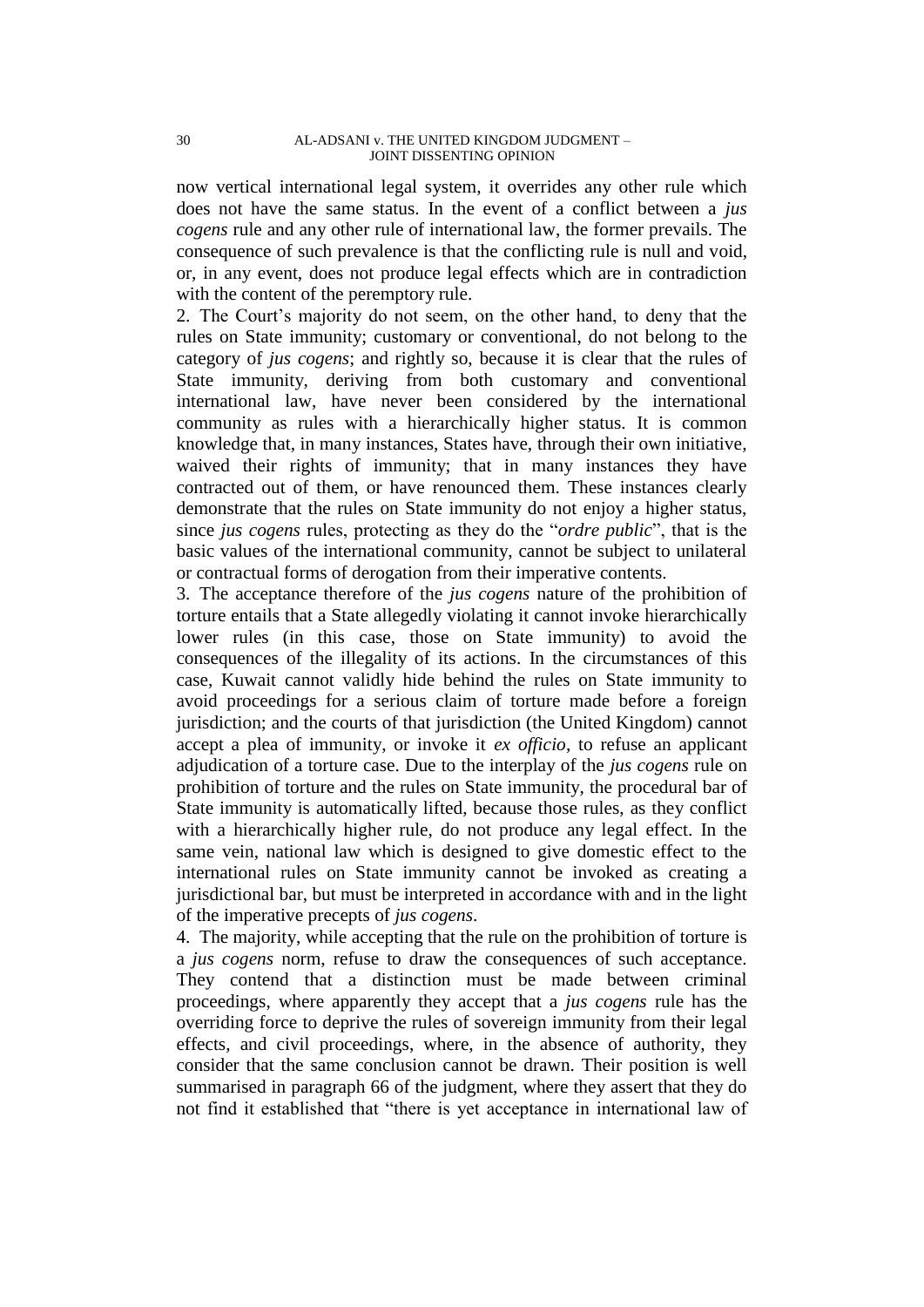now vertical international legal system, it overrides any other rule which does not have the same status. In the event of a conflict between a *jus cogens* rule and any other rule of international law, the former prevails. The consequence of such prevalence is that the conflicting rule is null and void, or, in any event, does not produce legal effects which are in contradiction with the content of the peremptory rule.

2. The Court"s majority do not seem, on the other hand, to deny that the rules on State immunity; customary or conventional, do not belong to the category of *jus cogens*; and rightly so, because it is clear that the rules of State immunity, deriving from both customary and conventional international law, have never been considered by the international community as rules with a hierarchically higher status. It is common knowledge that, in many instances, States have, through their own initiative, waived their rights of immunity; that in many instances they have contracted out of them, or have renounced them. These instances clearly demonstrate that the rules on State immunity do not enjoy a higher status, since *jus cogens* rules, protecting as they do the "*ordre public*", that is the basic values of the international community, cannot be subject to unilateral or contractual forms of derogation from their imperative contents.

3. The acceptance therefore of the *jus cogens* nature of the prohibition of torture entails that a State allegedly violating it cannot invoke hierarchically lower rules (in this case, those on State immunity) to avoid the consequences of the illegality of its actions. In the circumstances of this case, Kuwait cannot validly hide behind the rules on State immunity to avoid proceedings for a serious claim of torture made before a foreign jurisdiction; and the courts of that jurisdiction (the United Kingdom) cannot accept a plea of immunity, or invoke it *ex officio*, to refuse an applicant adjudication of a torture case. Due to the interplay of the *jus cogens* rule on prohibition of torture and the rules on State immunity, the procedural bar of State immunity is automatically lifted, because those rules, as they conflict with a hierarchically higher rule, do not produce any legal effect. In the same vein, national law which is designed to give domestic effect to the international rules on State immunity cannot be invoked as creating a jurisdictional bar, but must be interpreted in accordance with and in the light of the imperative precepts of *jus cogens*.

4. The majority, while accepting that the rule on the prohibition of torture is a *jus cogens* norm, refuse to draw the consequences of such acceptance. They contend that a distinction must be made between criminal proceedings, where apparently they accept that a *jus cogens* rule has the overriding force to deprive the rules of sovereign immunity from their legal effects, and civil proceedings, where, in the absence of authority, they consider that the same conclusion cannot be drawn. Their position is well summarised in paragraph 66 of the judgment, where they assert that they do not find it established that "there is yet acceptance in international law of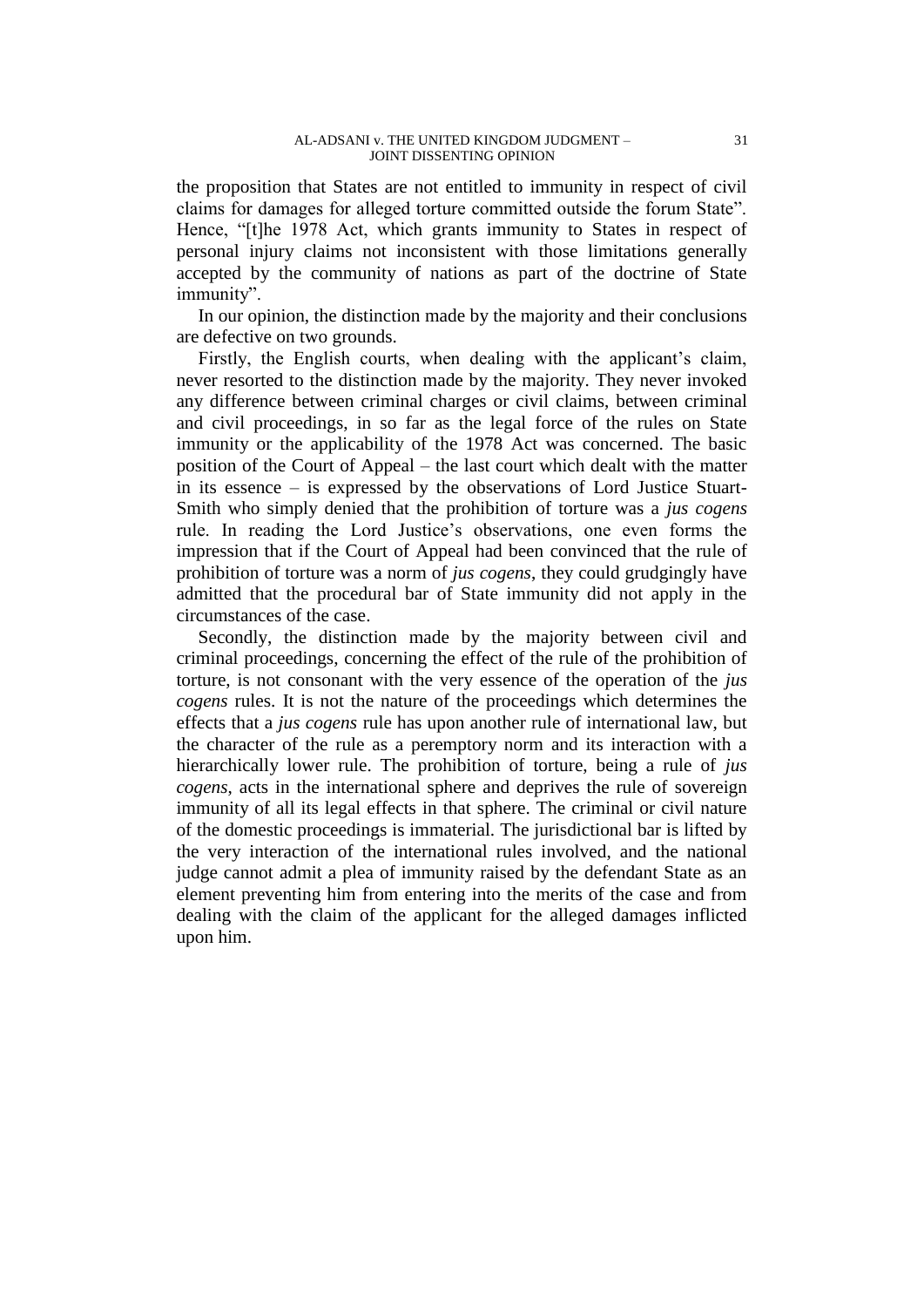the proposition that States are not entitled to immunity in respect of civil claims for damages for alleged torture committed outside the forum State". Hence, "[t]he 1978 Act, which grants immunity to States in respect of personal injury claims not inconsistent with those limitations generally accepted by the community of nations as part of the doctrine of State immunity".

In our opinion, the distinction made by the majority and their conclusions are defective on two grounds.

Firstly, the English courts, when dealing with the applicant's claim, never resorted to the distinction made by the majority. They never invoked any difference between criminal charges or civil claims, between criminal and civil proceedings, in so far as the legal force of the rules on State immunity or the applicability of the 1978 Act was concerned. The basic position of the Court of Appeal – the last court which dealt with the matter in its essence – is expressed by the observations of Lord Justice Stuart-Smith who simply denied that the prohibition of torture was a *jus cogens* rule. In reading the Lord Justice"s observations, one even forms the impression that if the Court of Appeal had been convinced that the rule of prohibition of torture was a norm of *jus cogens*, they could grudgingly have admitted that the procedural bar of State immunity did not apply in the circumstances of the case.

Secondly, the distinction made by the majority between civil and criminal proceedings, concerning the effect of the rule of the prohibition of torture, is not consonant with the very essence of the operation of the *jus cogens* rules. It is not the nature of the proceedings which determines the effects that a *jus cogens* rule has upon another rule of international law, but the character of the rule as a peremptory norm and its interaction with a hierarchically lower rule. The prohibition of torture, being a rule of *jus cogens*, acts in the international sphere and deprives the rule of sovereign immunity of all its legal effects in that sphere. The criminal or civil nature of the domestic proceedings is immaterial. The jurisdictional bar is lifted by the very interaction of the international rules involved, and the national judge cannot admit a plea of immunity raised by the defendant State as an element preventing him from entering into the merits of the case and from dealing with the claim of the applicant for the alleged damages inflicted upon him.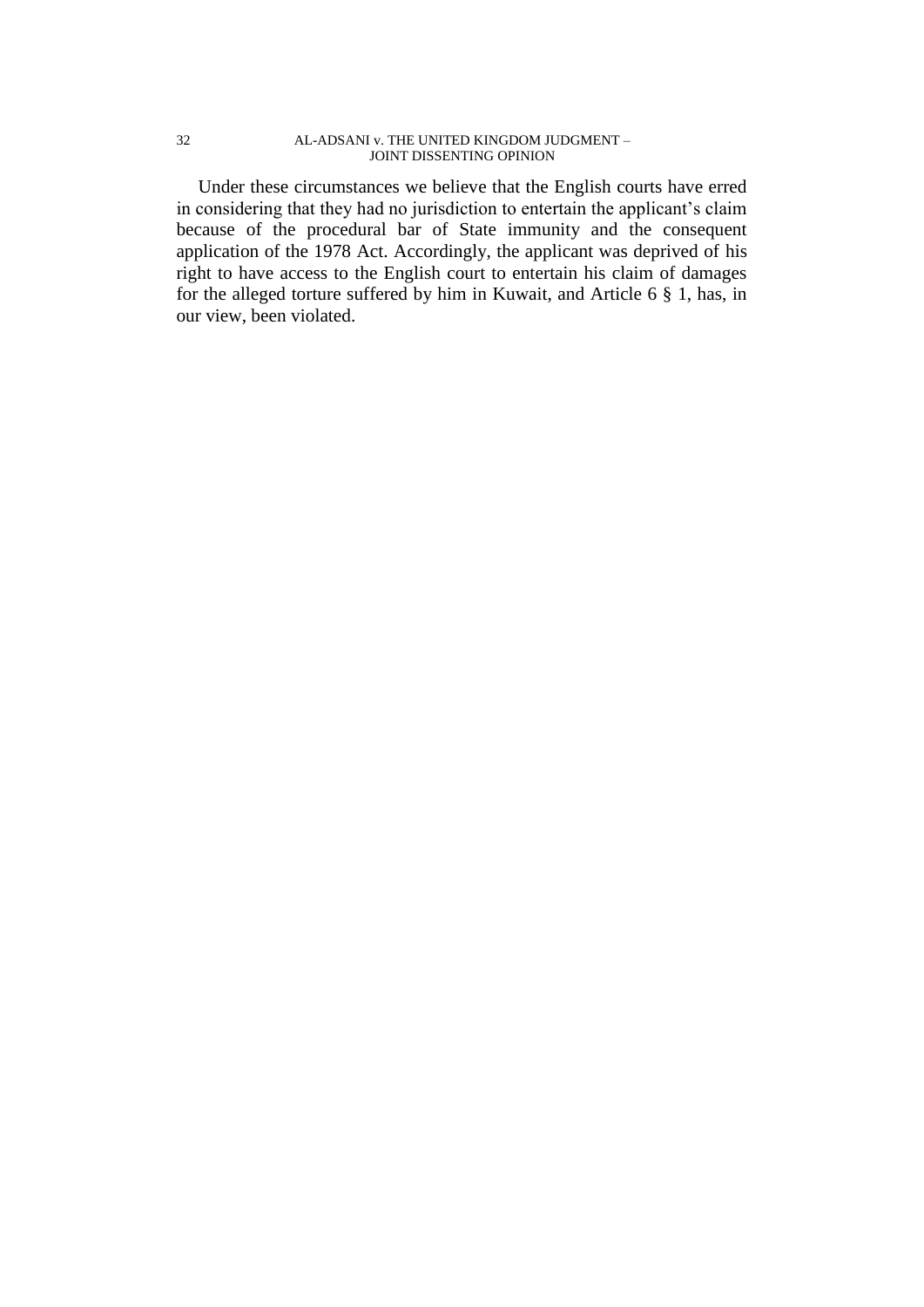#### 32 AL-ADSANI v. THE UNITED KINGDOM JUDGMENT – JOINT DISSENTING OPINION

Under these circumstances we believe that the English courts have erred in considering that they had no jurisdiction to entertain the applicant's claim because of the procedural bar of State immunity and the consequent application of the 1978 Act. Accordingly, the applicant was deprived of his right to have access to the English court to entertain his claim of damages for the alleged torture suffered by him in Kuwait, and Article 6 § 1, has, in our view, been violated.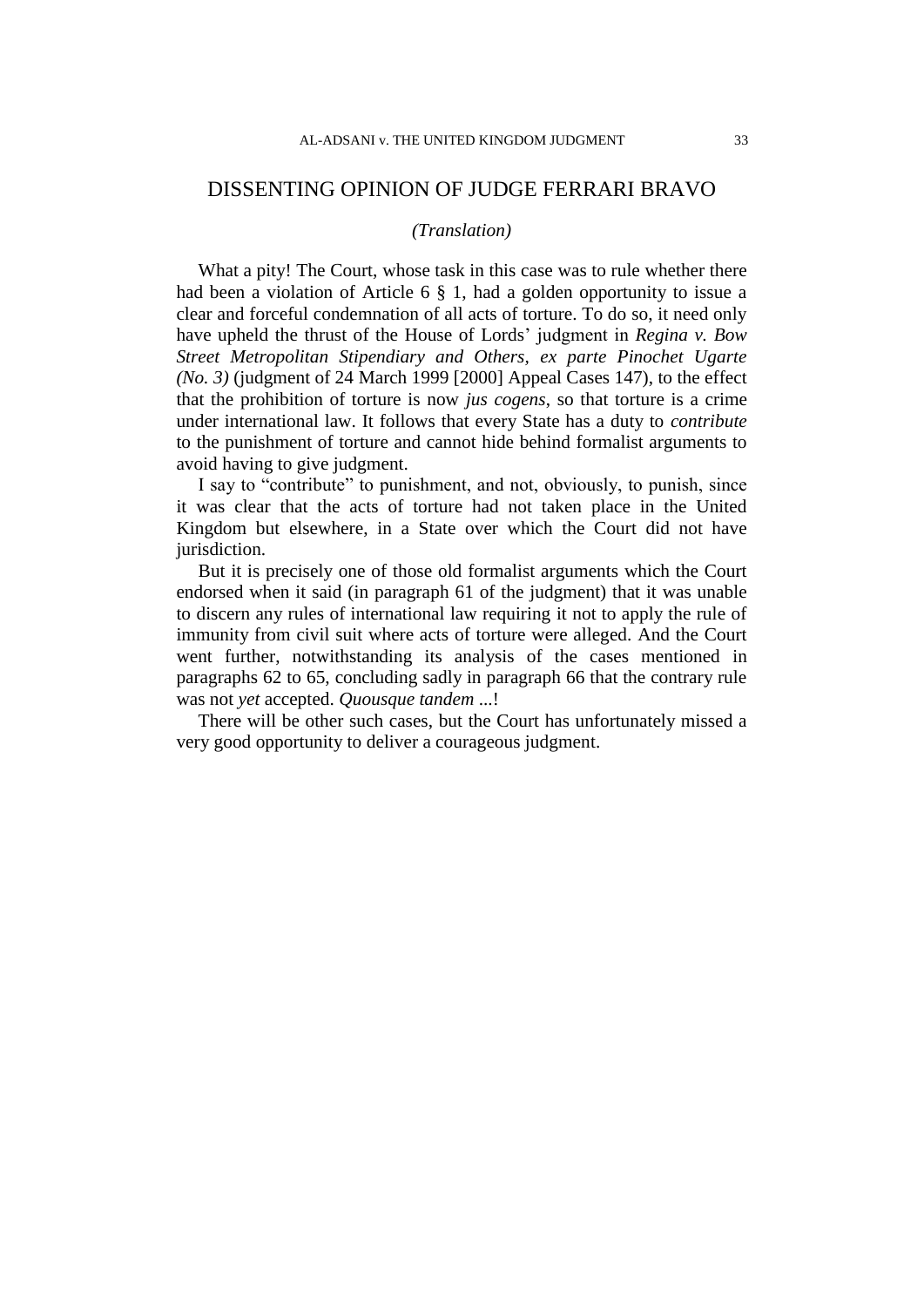## DISSENTING OPINION OF JUDGE FERRARI BRAVO

#### *(Translation)*

What a pity! The Court, whose task in this case was to rule whether there had been a violation of Article 6 § 1, had a golden opportunity to issue a clear and forceful condemnation of all acts of torture. To do so, it need only have upheld the thrust of the House of Lords" judgment in *Regina v. Bow Street Metropolitan Stipendiary and Others, ex parte Pinochet Ugarte (No. 3)* (judgment of 24 March 1999 [2000] Appeal Cases 147), to the effect that the prohibition of torture is now *jus cogens*, so that torture is a crime under international law. It follows that every State has a duty to *contribute* to the punishment of torture and cannot hide behind formalist arguments to avoid having to give judgment.

I say to "contribute" to punishment, and not, obviously, to punish, since it was clear that the acts of torture had not taken place in the United Kingdom but elsewhere, in a State over which the Court did not have jurisdiction.

But it is precisely one of those old formalist arguments which the Court endorsed when it said (in paragraph 61 of the judgment) that it was unable to discern any rules of international law requiring it not to apply the rule of immunity from civil suit where acts of torture were alleged. And the Court went further, notwithstanding its analysis of the cases mentioned in paragraphs 62 to 65, concluding sadly in paragraph 66 that the contrary rule was not *yet* accepted. *Quousque tandem* ...!

There will be other such cases, but the Court has unfortunately missed a very good opportunity to deliver a courageous judgment.